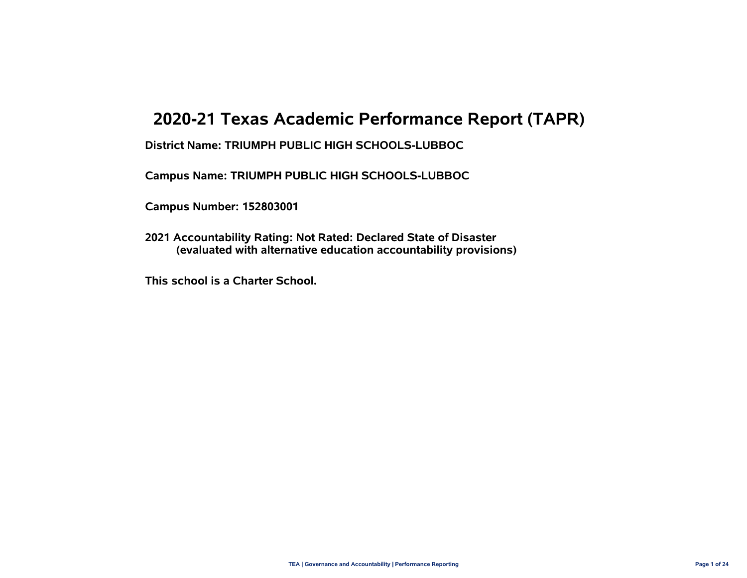# **2020-21 Texas Academic Performance Report (TAPR)**

**District Name: TRIUMPH PUBLIC HIGH SCHOOLS-LUBBOC**

**Campus Name: TRIUMPH PUBLIC HIGH SCHOOLS-LUBBOC**

**Campus Number: 152803001**

**2021 Accountability Rating: Not Rated: Declared State of Disaster (evaluated with alternative education accountability provisions)**

**This school is a Charter School.**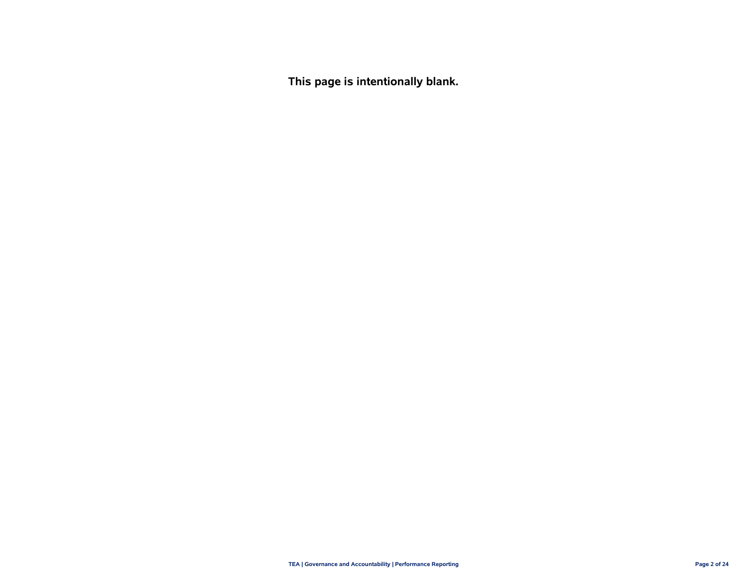**This page is intentionally blank.**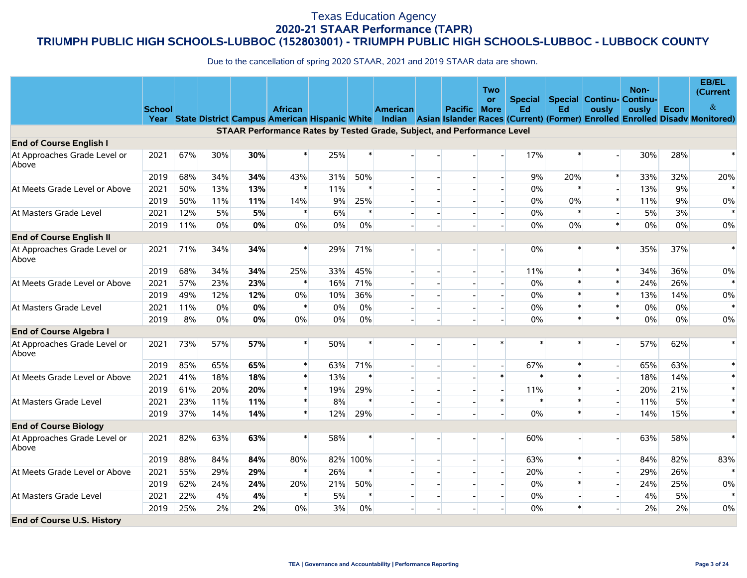### Texas Education Agency **2020-21 STAAR Performance (TAPR)**

### **TRIUMPH PUBLIC HIGH SCHOOLS-LUBBOC (152803001) - TRIUMPH PUBLIC HIGH SCHOOLS-LUBBOC - LUBBOCK COUNTY**

Due to the cancellation of spring 2020 STAAR, 2021 and 2019 STAAR data are shown.

|                                       |               |     |     |     |                |       |          |                                                                         |                | Two            |         |        |                                  | Non-  |       | EB/EL<br>(Current                                                                                                                     |
|---------------------------------------|---------------|-----|-----|-----|----------------|-------|----------|-------------------------------------------------------------------------|----------------|----------------|---------|--------|----------------------------------|-------|-------|---------------------------------------------------------------------------------------------------------------------------------------|
|                                       |               |     |     |     |                |       |          |                                                                         |                | <b>or</b>      | Special |        | <b>Special Continu- Continu-</b> |       |       | $\&$                                                                                                                                  |
|                                       | <b>School</b> |     |     |     | <b>African</b> |       |          | <b>American</b>                                                         | <b>Pacific</b> | <b>More</b>    | Ed.     | Ed     | ously                            | ously | Econ  | Year State District Campus American Hispanic White Indian Asian Islander Races (Current) (Former) Enrolled Enrolled Disady Monitored) |
|                                       |               |     |     |     |                |       |          | STAAR Performance Rates by Tested Grade, Subject, and Performance Level |                |                |         |        |                                  |       |       |                                                                                                                                       |
| <b>End of Course English I</b>        |               |     |     |     |                |       |          |                                                                         |                |                |         |        |                                  |       |       |                                                                                                                                       |
| At Approaches Grade Level or<br>Above | 2021          | 67% | 30% | 30% |                | 25%   |          |                                                                         |                |                | 17%     | $\ast$ |                                  | 30%   | 28%   |                                                                                                                                       |
|                                       | 2019          | 68% | 34% | 34% | 43%            | 31%   | 50%      |                                                                         |                |                | 9%      | 20%    | $\ast$                           | 33%   | 32%   | 20%                                                                                                                                   |
| At Meets Grade Level or Above         | 2021          | 50% | 13% | 13% | $\ast$         | 11%   | $\ast$   |                                                                         |                | $\sim$         | $0\%$   | $\ast$ |                                  | 13%   | 9%    | $\ast$                                                                                                                                |
|                                       | 2019          | 50% | 11% | 11% | 14%            | 9%    | 25%      |                                                                         |                | $\sim$         | $0\%$   | 0%     | $\pmb{\ast}$                     | 11%   | 9%    | 0%                                                                                                                                    |
| At Masters Grade Level                | 2021          | 12% | 5%  | 5%  | $\ast$         | 6%    | $\ast$   |                                                                         |                | $\sim$         | 0%      | $\ast$ |                                  | 5%    | 3%    | $\ast$                                                                                                                                |
|                                       | 2019          | 11% | 0%  | 0%  | 0%             | 0%    | 0%       |                                                                         |                |                | 0%      | 0%     | $\ast$                           | 0%    | 0%    | 0%                                                                                                                                    |
| <b>End of Course English II</b>       |               |     |     |     |                |       |          |                                                                         |                |                |         |        |                                  |       |       |                                                                                                                                       |
| At Approaches Grade Level or<br>Above | 2021          | 71% | 34% | 34% | $\ast$         | 29%   | 71%      |                                                                         |                |                | $0\%$   | $\ast$ | $\ast$                           | 35%   | 37%   | $\ast$                                                                                                                                |
|                                       | 2019          | 68% | 34% | 34% | 25%            | 33%   | 45%      |                                                                         |                | $\mathbf{L}$   | 11%     | $\ast$ | $\ast$                           | 34%   | 36%   | 0%                                                                                                                                    |
| At Meets Grade Level or Above         | 2021          | 57% | 23% | 23% | $\ast$         | 16%   | 71%      |                                                                         |                |                | 0%      | $\ast$ | $\ast$                           | 24%   | 26%   |                                                                                                                                       |
|                                       | 2019          | 49% | 12% | 12% | 0%             | 10%   | 36%      |                                                                         |                | $\overline{a}$ | 0%      | $\ast$ | $\ast$                           | 13%   | 14%   | 0%                                                                                                                                    |
| At Masters Grade Level                | 2021          | 11% | 0%  | 0%  | $\ast$         | $0\%$ | 0%       |                                                                         |                | $\overline{a}$ | 0%      | $\ast$ | $\ast$                           | 0%    | $0\%$ |                                                                                                                                       |
|                                       | 2019          | 8%  | 0%  | 0%  | 0%             | 0%    | 0%       |                                                                         |                |                | $0\%$   | $\ast$ | $\ast$                           | 0%    | 0%    | 0%                                                                                                                                    |
| <b>End of Course Algebra I</b>        |               |     |     |     |                |       |          |                                                                         |                |                |         |        |                                  |       |       |                                                                                                                                       |
| At Approaches Grade Level or<br>Above | 2021          | 73% | 57% | 57% | $\ast$         | 50%   | $\ast$   |                                                                         |                | $\ast$         | $\ast$  | $\ast$ |                                  | 57%   | 62%   |                                                                                                                                       |
|                                       | 2019          | 85% | 65% | 65% | $\ast$         | 63%   | 71%      |                                                                         |                | $\overline{a}$ | 67%     | $\ast$ |                                  | 65%   | 63%   |                                                                                                                                       |
| At Meets Grade Level or Above         | 2021          | 41% | 18% | 18% | $\ast$         | 13%   | $\ast$   |                                                                         |                | $\ast$         | $\ast$  | $\ast$ |                                  | 18%   | 14%   |                                                                                                                                       |
|                                       | 2019          | 61% | 20% | 20% | $\ast$         | 19%   | 29%      |                                                                         |                | $\mathbf{L}$   | 11%     | $\ast$ |                                  | 20%   | 21%   |                                                                                                                                       |
| At Masters Grade Level                | 2021          | 23% | 11% | 11% | $\pmb{\ast}$   | 8%    | $\ast$   |                                                                         |                | $\ast$         | $\ast$  | $\ast$ | $\overline{\phantom{a}}$         | 11%   | 5%    |                                                                                                                                       |
|                                       | 2019          | 37% | 14% | 14% | $\ast$         | 12%   | 29%      |                                                                         |                |                | 0%      | $\ast$ |                                  | 14%   | 15%   |                                                                                                                                       |
| <b>End of Course Biology</b>          |               |     |     |     |                |       |          |                                                                         |                |                |         |        |                                  |       |       |                                                                                                                                       |
| At Approaches Grade Level or<br>Above | 2021          | 82% | 63% | 63% |                | 58%   |          |                                                                         |                |                | 60%     |        |                                  | 63%   | 58%   |                                                                                                                                       |
|                                       | 2019          | 88% | 84% | 84% | 80%            |       | 82% 100% |                                                                         |                | $\overline{a}$ | 63%     | $\ast$ |                                  | 84%   | 82%   | 83%                                                                                                                                   |
| At Meets Grade Level or Above         | 2021          | 55% | 29% | 29% | $\ast$         | 26%   | $\ast$   |                                                                         |                | $\sim$         | 20%     |        |                                  | 29%   | 26%   | $\ast$                                                                                                                                |
|                                       | 2019          | 62% | 24% | 24% | 20%            | 21%   | 50%      |                                                                         |                | $\sim$         | 0%      | $\ast$ |                                  | 24%   | 25%   | 0%                                                                                                                                    |
| At Masters Grade Level                | 2021          | 22% | 4%  | 4%  | $\ast$         | 5%    | $\ast$   |                                                                         |                | $\mathbf{L}$   | $0\%$   | $\sim$ |                                  | 4%    | 5%    |                                                                                                                                       |
|                                       | 2019          | 25% | 2%  | 2%  | 0%             | 3%    | 0%       |                                                                         |                |                | 0%      | $\ast$ |                                  | 2%    | 2%    | 0%                                                                                                                                    |
| <b>End of Course U.S. History</b>     |               |     |     |     |                |       |          |                                                                         |                |                |         |        |                                  |       |       |                                                                                                                                       |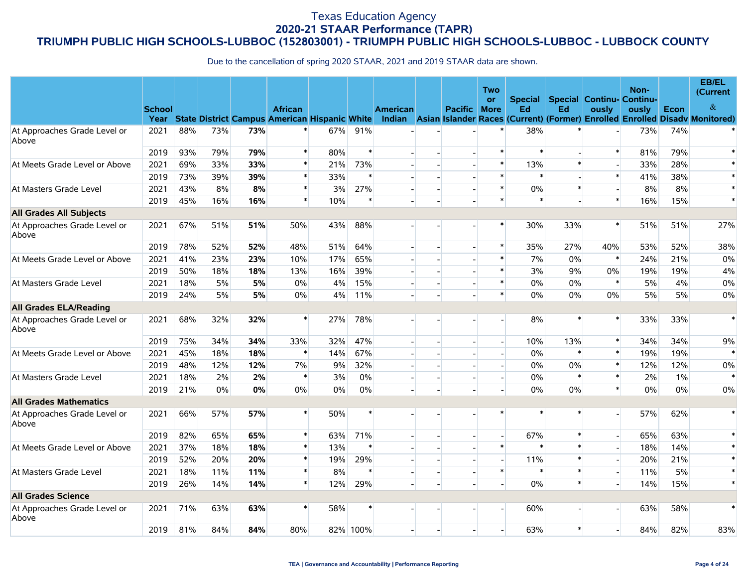### Texas Education Agency **2020-21 STAAR Performance (TAPR)**

### **TRIUMPH PUBLIC HIGH SCHOOLS-LUBBOC (152803001) - TRIUMPH PUBLIC HIGH SCHOOLS-LUBBOC - LUBBOCK COUNTY**

Due to the cancellation of spring 2020 STAAR, 2021 and 2019 STAAR data are shown.

|                                       |               |     |     |     |                |     |          |                 |                          | Two<br>or      |        |                | Special Special Continu- Continu- | Non-  |             | <b>EB/EL</b><br>(Current                                                                                                                      |
|---------------------------------------|---------------|-----|-----|-----|----------------|-----|----------|-----------------|--------------------------|----------------|--------|----------------|-----------------------------------|-------|-------------|-----------------------------------------------------------------------------------------------------------------------------------------------|
|                                       | <b>School</b> |     |     |     | <b>African</b> |     |          | <b>American</b> | <b>Pacific</b>           | <b>More</b>    | Ed     | Ed             | ously                             | ously | <b>Econ</b> | $\&$<br>Year State District Campus American Hispanic White Indian Asian Islander Races (Current) (Former) Enrolled Enrolled Disady Monitored) |
| At Approaches Grade Level or<br>Above | 2021          | 88% | 73% | 73% |                | 67% | 91%      |                 |                          |                | 38%    |                |                                   | 73%   | 74%         |                                                                                                                                               |
|                                       | 2019          | 93% | 79% | 79% | $\ast$         | 80% | $\ast$   |                 |                          | $\ast$         | $\ast$ | $\blacksquare$ | $\ast$                            | 81%   | 79%         |                                                                                                                                               |
| At Meets Grade Level or Above         | 2021          | 69% | 33% | 33% | $\ast$         | 21% | 73%      |                 |                          | $\ast$         | 13%    | $\ast$         |                                   | 33%   | 28%         |                                                                                                                                               |
|                                       | 2019          | 73% | 39% | 39% | $\ast$         | 33% | $\ast$   |                 |                          | $\ast$         | $\ast$ |                | $\ast$                            | 41%   | 38%         | $\ast$                                                                                                                                        |
| At Masters Grade Level                | 2021          | 43% | 8%  | 8%  | $\ast$         | 3%  | 27%      |                 |                          | $\ast$         | 0%     | $\ast$         |                                   | 8%    | 8%          | $\ast$                                                                                                                                        |
|                                       | 2019          | 45% | 16% | 16% | $\ast$         | 10% | $\ast$   |                 |                          | $\ast$         | $\ast$ |                | $\ast$                            | 16%   | 15%         | $\ast$                                                                                                                                        |
| <b>All Grades All Subjects</b>        |               |     |     |     |                |     |          |                 |                          |                |        |                |                                   |       |             |                                                                                                                                               |
| At Approaches Grade Level or<br>Above | 2021          | 67% | 51% | 51% | 50%            | 43% | 88%      |                 |                          | $\ast$         | 30%    | 33%            | $\ast$                            | 51%   | 51%         | 27%                                                                                                                                           |
|                                       | 2019          | 78% | 52% | 52% | 48%            | 51% | 64%      |                 |                          | $\ast$         | 35%    | 27%            | 40%                               | 53%   | 52%         | 38%                                                                                                                                           |
| At Meets Grade Level or Above         | 2021          | 41% | 23% | 23% | 10%            | 17% | 65%      |                 |                          | $\ast$         | 7%     | 0%             | $\ast$                            | 24%   | 21%         | 0%                                                                                                                                            |
|                                       | 2019          | 50% | 18% | 18% | 13%            | 16% | 39%      |                 |                          | $\ast$         | 3%     | 9%             | 0%                                | 19%   | 19%         | 4%                                                                                                                                            |
| At Masters Grade Level                | 2021          | 18% | 5%  | 5%  | 0%             | 4%  | 15%      |                 |                          | $\ast$         | 0%     | 0%             | $\ast$                            | 5%    | 4%          | 0%                                                                                                                                            |
|                                       | 2019          | 24% | 5%  | 5%  | 0%             | 4%  | 11%      |                 |                          | $\ast$         | 0%     | 0%             | 0%                                | 5%    | 5%          | 0%                                                                                                                                            |
| <b>All Grades ELA/Reading</b>         |               |     |     |     |                |     |          |                 |                          |                |        |                |                                   |       |             |                                                                                                                                               |
| At Approaches Grade Level or<br>Above | 2021          | 68% | 32% | 32% | $\ast$         | 27% | 78%      |                 |                          |                | 8%     | $\ast$         | $\ast$                            | 33%   | 33%         | $\ast$                                                                                                                                        |
|                                       | 2019          | 75% | 34% | 34% | 33%            | 32% | 47%      |                 |                          | $\sim$         | 10%    | 13%            | $\ast$                            | 34%   | 34%         | 9%                                                                                                                                            |
| At Meets Grade Level or Above         | 2021          | 45% | 18% | 18% | $\ast$         | 14% | 67%      |                 |                          |                | 0%     | $\ast$         | $\ast$                            | 19%   | 19%         | $\ast$                                                                                                                                        |
|                                       | 2019          | 48% | 12% | 12% | 7%             | 9%  | 32%      |                 |                          | $\sim$         | 0%     | $0\%$          | $\ast$                            | 12%   | 12%         | 0%                                                                                                                                            |
| At Masters Grade Level                | 2021          | 18% | 2%  | 2%  | $\ast$         | 3%  | 0%       |                 |                          | $\overline{a}$ | 0%     | $\ast$         | $\ast$                            | 2%    | $1\%$       | $\ast$                                                                                                                                        |
|                                       | 2019          | 21% | 0%  | 0%  | 0%             | 0%  | 0%       |                 |                          |                | 0%     | 0%             | $\ast$                            | 0%    | 0%          | 0%                                                                                                                                            |
| <b>All Grades Mathematics</b>         |               |     |     |     |                |     |          |                 |                          |                |        |                |                                   |       |             |                                                                                                                                               |
| At Approaches Grade Level or<br>Above | 2021          | 66% | 57% | 57% | $\ast$         | 50% | $\ast$   |                 |                          | $\ast$         |        | $\ast$         |                                   | 57%   | 62%         |                                                                                                                                               |
|                                       | 2019          | 82% | 65% | 65% | $\ast$         | 63% | 71%      |                 |                          | $\sim$         | 67%    | $\ast$         |                                   | 65%   | 63%         |                                                                                                                                               |
| At Meets Grade Level or Above         | 2021          | 37% | 18% | 18% | $\ast$         | 13% | $\ast$   |                 |                          | $\ast$         | $\ast$ | $\ast$         |                                   | 18%   | 14%         | $\ast$                                                                                                                                        |
|                                       | 2019          | 52% | 20% | 20% | $\ast$         | 19% | 29%      |                 |                          | $\overline{a}$ | 11%    | $\ast$         | $\sim$                            | 20%   | 21%         | $\ast$                                                                                                                                        |
| At Masters Grade Level                | 2021          | 18% | 11% | 11% | $\ast$         | 8%  | $\ast$   |                 | $\overline{\phantom{a}}$ | $\ast$         | $\ast$ | $\ast$         | $\overline{\phantom{a}}$          | 11%   | 5%          |                                                                                                                                               |
|                                       | 2019          | 26% | 14% | 14% | $\ast$         | 12% | 29%      |                 |                          |                | $0\%$  | $\ast$         |                                   | 14%   | 15%         | $\ast$                                                                                                                                        |
| <b>All Grades Science</b>             |               |     |     |     |                |     |          |                 |                          |                |        |                |                                   |       |             |                                                                                                                                               |
| At Approaches Grade Level or<br>Above | 2021          | 71% | 63% | 63% | $\ast$         | 58% |          |                 |                          |                | 60%    |                |                                   | 63%   | 58%         |                                                                                                                                               |
|                                       | 2019          | 81% | 84% | 84% | 80%            |     | 82% 100% |                 |                          |                | 63%    | $\ast$         |                                   | 84%   | 82%         | 83%                                                                                                                                           |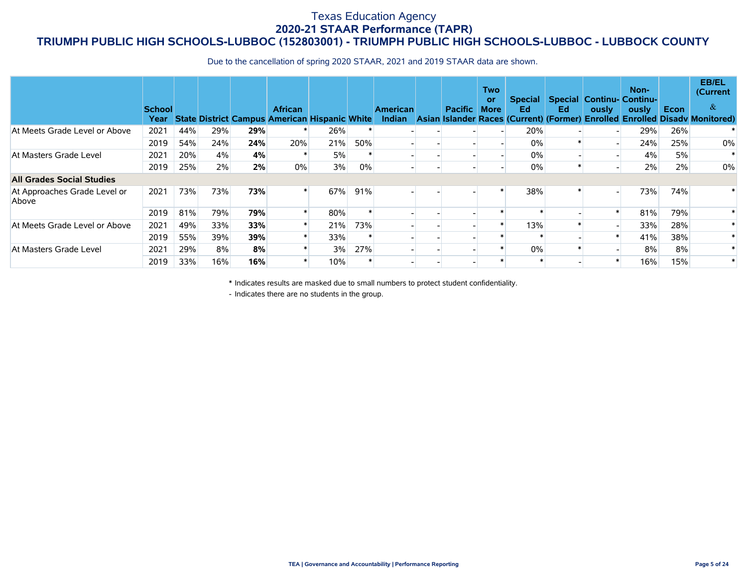### Texas Education Agency **2020-21 STAAR Performance (TAPR)**

### **TRIUMPH PUBLIC HIGH SCHOOLS-LUBBOC (152803001) - TRIUMPH PUBLIC HIGH SCHOOLS-LUBBOC - LUBBOCK COUNTY**

Due to the cancellation of spring 2020 STAAR, 2021 and 2019 STAAR data are shown.

|                                       | <b>School</b><br>Year |     |     |     | <b>African</b><br><b>State District Campus American Hispanic White</b> |     |       | <b>American</b><br>Indian | <b>Pacific</b> | <b>Two</b><br>or<br><b>More</b> | <b>Special</b><br>Ed | Ed | <b>Special Continu- Continu-</b><br>ously | Non-<br>ously | Econ | <b>EB/EL</b><br>(Current<br>$\alpha$<br>Asian Islander Races (Current) (Former) Enrolled Enrolled Disadv Monitored) |
|---------------------------------------|-----------------------|-----|-----|-----|------------------------------------------------------------------------|-----|-------|---------------------------|----------------|---------------------------------|----------------------|----|-------------------------------------------|---------------|------|---------------------------------------------------------------------------------------------------------------------|
| At Meets Grade Level or Above         | 2021                  | 44% | 29% | 29% |                                                                        | 26% |       |                           |                |                                 | 20%                  |    |                                           | 29%           | 26%  |                                                                                                                     |
|                                       | 2019                  | 54% | 24% | 24% | 20%                                                                    | 21% | 50%   |                           |                |                                 | 0%                   |    |                                           | 24%           | 25%  | $0\%$                                                                                                               |
| At Masters Grade Level                | 2021                  | 20% | 4%  | 4%  |                                                                        | 5%  |       |                           |                |                                 | $0\%$                |    |                                           | 4%            | 5%   |                                                                                                                     |
|                                       | 2019                  | 25% | 2%  | 2%  | $0\%$                                                                  | 3%  | $0\%$ |                           |                |                                 | 0%                   |    |                                           | 2%            | 2%   | 0%                                                                                                                  |
| <b>All Grades Social Studies</b>      |                       |     |     |     |                                                                        |     |       |                           |                |                                 |                      |    |                                           |               |      |                                                                                                                     |
| At Approaches Grade Level or<br>Above | 2021                  | 73% | 73% | 73% | $\ast$                                                                 | 67% | 91%   |                           |                |                                 | 38%                  |    |                                           | 73%           | 74%  |                                                                                                                     |
|                                       | 2019                  | 81% | 79% | 79% |                                                                        | 80% |       |                           |                |                                 |                      |    |                                           | 81%           | 79%  |                                                                                                                     |
| At Meets Grade Level or Above         | 2021                  | 49% | 33% | 33% |                                                                        | 21% | 73%   |                           |                |                                 | 13%                  |    |                                           | 33%           | 28%  |                                                                                                                     |
|                                       | 2019                  | 55% | 39% | 39% |                                                                        | 33% |       |                           |                |                                 |                      |    |                                           | 41%           | 38%  |                                                                                                                     |
| At Masters Grade Level                | 2021                  | 29% | 8%  | 8%  |                                                                        | 3%  | 27%   |                           |                |                                 | $0\%$                |    |                                           | 8%            | 8%   |                                                                                                                     |
|                                       | 2019                  | 33% | 16% | 16% |                                                                        | 10% |       |                           |                |                                 |                      |    |                                           | 16%           | 15%  |                                                                                                                     |

\* Indicates results are masked due to small numbers to protect student confidentiality.

- Indicates there are no students in the group.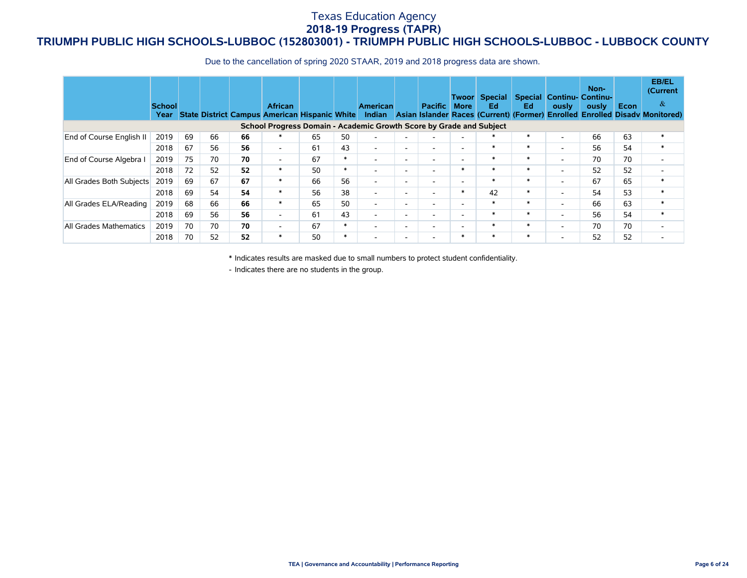### Texas Education Agency **2018-19 Progress (TAPR)**

# **TRIUMPH PUBLIC HIGH SCHOOLS-LUBBOC (152803001) - TRIUMPH PUBLIC HIGH SCHOOLS-LUBBOC - LUBBOCK COUNTY**

Due to the cancellation of spring 2020 STAAR, 2019 and 2018 progress data are shown.

|                          | <b>School</b> |    |    |    | <b>African</b><br>Year State District Campus American Hispanic White |    |        | <b>American</b>          |                          | <b>Pacific</b>           | Twoorl<br><b>More</b>    | <b>Special</b><br>Ed. | Ed     | <b>Special Continu- Continu-</b><br>ously | Non-<br>ously | Econ | <b>EB/EL</b><br>(Current)<br>&<br>Indian Asian Islander Races (Current) (Former) Enrolled Enrolled Disady Monitored) |
|--------------------------|---------------|----|----|----|----------------------------------------------------------------------|----|--------|--------------------------|--------------------------|--------------------------|--------------------------|-----------------------|--------|-------------------------------------------|---------------|------|----------------------------------------------------------------------------------------------------------------------|
|                          |               |    |    |    | School Progress Domain - Academic Growth Score by Grade and Subject  |    |        |                          |                          |                          |                          |                       |        |                                           |               |      |                                                                                                                      |
| End of Course English II | 2019          | 69 | 66 | 66 | $\ast$                                                               | 65 | 50     | $\overline{\phantom{0}}$ |                          |                          | $\overline{\phantom{a}}$ |                       | $\ast$ | $\overline{\phantom{a}}$                  | 66            | 63   |                                                                                                                      |
|                          | 2018          | 67 | 56 | 56 | $\overline{\phantom{a}}$                                             | 61 | 43     | $\overline{\phantom{0}}$ | $\overline{\phantom{0}}$ | $\overline{\phantom{0}}$ | $\overline{\phantom{a}}$ | $\ast$                | $\ast$ | $\overline{\phantom{a}}$                  | 56            | 54   | $\ast$                                                                                                               |
| End of Course Algebra I  | 2019          | 75 | 70 | 70 | $\overline{\phantom{a}}$                                             | 67 | $\ast$ | $\overline{\phantom{0}}$ | $\overline{\phantom{0}}$ | $\overline{\phantom{a}}$ | $\overline{\phantom{a}}$ | $\ast$                | $\ast$ | $\overline{\phantom{0}}$                  | 70            | 70   |                                                                                                                      |
|                          | 2018          | 72 | 52 | 52 | $\ast$                                                               | 50 | $\ast$ | $\overline{\phantom{0}}$ | $\overline{\phantom{0}}$ | $\overline{\phantom{a}}$ | $\ast$                   | $\ast$                | $\ast$ | $\overline{\phantom{a}}$                  | 52            | 52   |                                                                                                                      |
| All Grades Both Subjects | 2019          | 69 | 67 | 67 | $\ast$                                                               | 66 | 56     | $\overline{\phantom{0}}$ | $\overline{\phantom{0}}$ | $\overline{\phantom{0}}$ | $\overline{\phantom{a}}$ | $\ast$                | $\ast$ | $\overline{\phantom{a}}$                  | 67            | 65   |                                                                                                                      |
|                          | 2018          | 69 | 54 | 54 | $\ast$                                                               | 56 | 38     | $\overline{\phantom{0}}$ | $\overline{\phantom{0}}$ | $\overline{\phantom{a}}$ | $\ast$                   | 42                    | *      | $\overline{\phantom{a}}$                  | 54            | 53   |                                                                                                                      |
| All Grades ELA/Reading   | 2019          | 68 | 66 | 66 | $\ast$                                                               | 65 | 50     | $\overline{\phantom{0}}$ | $\overline{\phantom{0}}$ | $\overline{\phantom{0}}$ | $\overline{\phantom{a}}$ | $\ast$                |        | $\overline{\phantom{a}}$                  | 66            | 63   |                                                                                                                      |
|                          | 2018          | 69 | 56 | 56 | $\overline{\phantom{a}}$                                             | 61 | 43     | $\overline{\phantom{a}}$ | $\overline{\phantom{0}}$ | $\overline{\phantom{a}}$ | $\overline{\phantom{a}}$ | $\ast$                | *      | $\overline{\phantom{a}}$                  | 56            | 54   |                                                                                                                      |
| All Grades Mathematics   | 2019          | 70 | 70 | 70 | $\overline{\phantom{a}}$                                             | 67 | $\ast$ | $\overline{\phantom{a}}$ | $\overline{\phantom{0}}$ | $\overline{\phantom{a}}$ | $\overline{\phantom{a}}$ | $\ast$                | $\ast$ | $\overline{\phantom{a}}$                  | 70            | 70   |                                                                                                                      |
|                          | 2018          | 70 | 52 | 52 | $\ast$                                                               | 50 | $\ast$ |                          | $\overline{\phantom{0}}$ |                          | ∗                        | $\ast$                | $\ast$ | $\overline{\phantom{a}}$                  | 52            | 52   |                                                                                                                      |

\* Indicates results are masked due to small numbers to protect student confidentiality.

- Indicates there are no students in the group.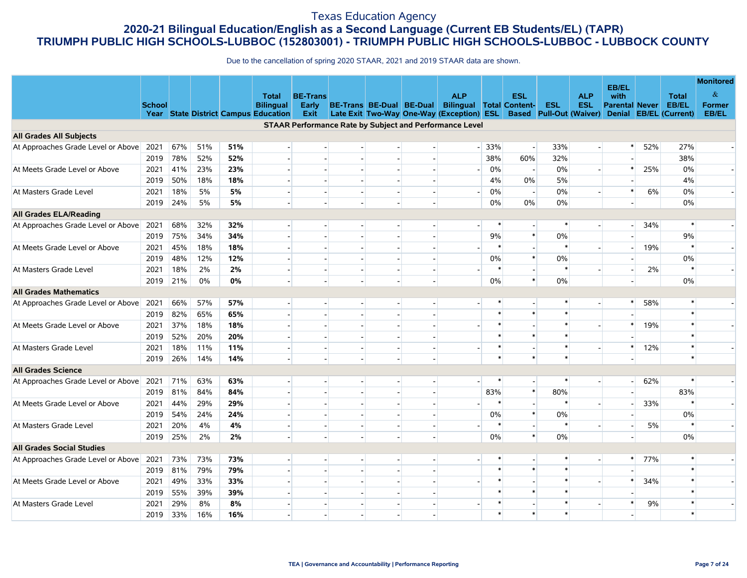### Texas Education Agency

# **2020-21 Bilingual Education/English as a Second Language (Current EB Students/EL) (TAPR) TRIUMPH PUBLIC HIGH SCHOOLS-LUBBOC (152803001) - TRIUMPH PUBLIC HIGH SCHOOLS-LUBBOC - LUBBOCK COUNTY**

Due to the cancellation of spring 2020 STAAR, 2021 and 2019 STAAR data are shown.

|                                    |               |     |       |     |                                                                 |                          |                          |                          |                          |                                                                              |         |                                |            |                          | EB/EL                    |       |                                        | <b>Monitored</b>       |
|------------------------------------|---------------|-----|-------|-----|-----------------------------------------------------------------|--------------------------|--------------------------|--------------------------|--------------------------|------------------------------------------------------------------------------|---------|--------------------------------|------------|--------------------------|--------------------------|-------|----------------------------------------|------------------------|
|                                    |               |     |       |     | <b>Total</b>                                                    | <b>BE-Trans</b>          |                          |                          |                          | <b>ALP</b>                                                                   |         | <b>ESL</b>                     |            | <b>ALP</b>               | with                     |       | <b>Total</b>                           | $\&$                   |
|                                    | <b>School</b> |     |       |     | <b>Bilingual</b><br><b>Year State District Campus Education</b> | Early<br>Exit            |                          | BE-Trans BE-Dual BE-Dual |                          | <b>Bilingual Total Content-</b><br>Late Exit Two-Way One-Way (Exception) ESL |         | <b>Based Pull-Out (Waiver)</b> | <b>ESL</b> | <b>ESL</b>               | <b>Parental Never</b>    |       | <b>EB/EL</b><br>Denial EB/EL (Current) | <b>Former</b><br>EB/EL |
|                                    |               |     |       |     |                                                                 |                          |                          |                          |                          | <b>STAAR Performance Rate by Subject and Performance Level</b>               |         |                                |            |                          |                          |       |                                        |                        |
| <b>All Grades All Subjects</b>     |               |     |       |     |                                                                 |                          |                          |                          |                          |                                                                              |         |                                |            |                          |                          |       |                                        |                        |
| At Approaches Grade Level or Above | 2021          | 67% | 51%   | 51% | $\overline{\phantom{a}}$                                        |                          |                          |                          |                          |                                                                              | $-33%$  | $\overline{\phantom{a}}$       | 33%        | $\overline{a}$           | $\ast$                   | 52%   | 27%                                    |                        |
|                                    | 2019          | 78% | 52%   | 52% | $\overline{a}$                                                  |                          |                          |                          |                          |                                                                              | 38%     | 60%                            | 32%        |                          |                          |       | 38%                                    |                        |
| At Meets Grade Level or Above      | 2021          | 41% | 23%   | 23% | $\overline{\phantom{a}}$                                        |                          |                          |                          |                          | $\overline{\phantom{a}}$                                                     | 0%      | $\overline{\phantom{a}}$       | 0%         |                          | $\ast$                   | 25%   | 0%                                     |                        |
|                                    | 2019          | 50% | 18%   | 18% | $\blacksquare$                                                  |                          |                          |                          |                          |                                                                              | 4%      | $0\%$                          | 5%         |                          |                          |       | 4%                                     |                        |
| At Masters Grade Level             | 2021          | 18% | 5%    | 5%  | $\blacksquare$                                                  |                          |                          |                          |                          | $\blacksquare$                                                               | 0%      | $\sim$                         | 0%         |                          | $\ast$                   | $6\%$ | 0%                                     |                        |
|                                    | 2019          | 24% | 5%    | 5%  | $\overline{a}$                                                  | $\overline{a}$           | $\overline{a}$           |                          | $\overline{\phantom{a}}$ |                                                                              | 0%      | $0\%$                          | 0%         |                          |                          |       | 0%                                     |                        |
| <b>All Grades ELA/Reading</b>      |               |     |       |     |                                                                 |                          |                          |                          |                          |                                                                              |         |                                |            |                          |                          |       |                                        |                        |
| At Approaches Grade Level or Above | 2021          | 68% | 32%   | 32% | $\overline{\phantom{a}}$                                        | $\blacksquare$           |                          |                          |                          |                                                                              | $\ast$  |                                | $\ast$     |                          | $\overline{\phantom{a}}$ | 34%   | $\ast$                                 |                        |
|                                    | 2019          | 75% | 34%   | 34% | $\overline{a}$                                                  | $\overline{a}$           |                          |                          |                          |                                                                              | 9%      | $\ast$                         | 0%         |                          |                          |       | 9%                                     |                        |
| At Meets Grade Level or Above      | 2021          | 45% | 18%   | 18% | $\overline{a}$                                                  |                          |                          |                          |                          |                                                                              | $\ast$  |                                | $\ast$     |                          |                          | 19%   | $\ast$                                 |                        |
|                                    | 2019          | 48% | 12%   | 12% | $\overline{\phantom{a}}$                                        |                          |                          |                          |                          |                                                                              | 0%      | $\ast$                         | 0%         |                          |                          |       | 0%                                     |                        |
| At Masters Grade Level             | 2021          | 18% | 2%    | 2%  | $\blacksquare$                                                  |                          |                          |                          |                          |                                                                              |         |                                | $\ast$     |                          |                          | 2%    | *                                      |                        |
|                                    | 2019          | 21% | $0\%$ | 0%  | $\overline{\phantom{a}}$                                        | $\overline{a}$           | $\overline{\phantom{a}}$ |                          | $\overline{a}$           |                                                                              | 0%      | $\ast$                         | 0%         |                          |                          |       | 0%                                     |                        |
| <b>All Grades Mathematics</b>      |               |     |       |     |                                                                 |                          |                          |                          |                          |                                                                              |         |                                |            |                          |                          |       |                                        |                        |
| At Approaches Grade Level or Above | 2021          | 66% | 57%   | 57% | $\overline{\phantom{a}}$                                        | $\overline{\phantom{a}}$ |                          |                          | $\overline{\phantom{a}}$ |                                                                              | $\ast$  |                                |            |                          | *                        | 58%   |                                        |                        |
|                                    | 2019          | 82% | 65%   | 65% | $\sim$                                                          | $\overline{\phantom{a}}$ |                          |                          |                          |                                                                              | $\ast$  | $\ast$                         | $\star$    |                          |                          |       | $\ast$                                 |                        |
| At Meets Grade Level or Above      | 2021          | 37% | 18%   | 18% | $\overline{a}$                                                  | н.                       |                          |                          |                          |                                                                              | $\ast$  |                                | $\ast$     |                          | $\ast$                   | 19%   | $\ast$                                 |                        |
|                                    | 2019          | 52% | 20%   | 20% | $\overline{\phantom{a}}$                                        |                          |                          |                          |                          |                                                                              |         |                                |            |                          |                          |       | $\ast$                                 |                        |
| At Masters Grade Level             | 2021          | 18% | 11%   | 11% | $\overline{\phantom{a}}$                                        |                          |                          |                          |                          |                                                                              | $\ast$  |                                | $\star$    |                          | $\ast$                   | 12%   | $\ast$                                 |                        |
|                                    | 2019          | 26% | 14%   | 14% | $\overline{\phantom{a}}$                                        |                          |                          |                          |                          |                                                                              | $\ast$  | $\ast$                         | $\ast$     |                          |                          |       | $\ast$                                 |                        |
| <b>All Grades Science</b>          |               |     |       |     |                                                                 |                          |                          |                          |                          |                                                                              |         |                                |            |                          |                          |       |                                        |                        |
| At Approaches Grade Level or Above | 2021          | 71% | 63%   | 63% | $\overline{\phantom{a}}$                                        | $\blacksquare$           |                          |                          |                          |                                                                              | $\ast$  |                                | $\ast$     | $\overline{\phantom{a}}$ | $\overline{a}$           | 62%   | $\ast$                                 |                        |
|                                    | 2019          | 81% | 84%   | 84% | $\sim$                                                          |                          |                          |                          |                          |                                                                              | 83%     | $\ast$                         | 80%        |                          |                          |       | 83%                                    |                        |
| At Meets Grade Level or Above      | 2021          | 44% | 29%   | 29% | $\overline{\phantom{a}}$                                        |                          |                          |                          |                          |                                                                              |         |                                | $\ast$     |                          |                          | 33%   | $\ast$                                 |                        |
|                                    | 2019          | 54% | 24%   | 24% | $\overline{\phantom{a}}$                                        |                          |                          |                          |                          |                                                                              | 0%      |                                | 0%         |                          |                          |       | 0%                                     |                        |
| At Masters Grade Level             | 2021          | 20% | 4%    | 4%  | $\overline{\phantom{a}}$                                        |                          |                          |                          |                          |                                                                              |         |                                | $\ast$     |                          |                          | 5%    | $\ast$                                 |                        |
|                                    | 2019          | 25% | 2%    | 2%  |                                                                 |                          |                          |                          |                          |                                                                              | 0%      | $\ast$                         | 0%         |                          |                          |       | 0%                                     |                        |
| <b>All Grades Social Studies</b>   |               |     |       |     |                                                                 |                          |                          |                          |                          |                                                                              |         |                                |            |                          |                          |       |                                        |                        |
| At Approaches Grade Level or Above | 2021          | 73% | 73%   | 73% | $\overline{\phantom{a}}$                                        | $\overline{\phantom{a}}$ | $\overline{\phantom{a}}$ |                          | $\overline{\phantom{a}}$ |                                                                              | $\ast$  |                                | $\ast$     |                          | $^{\ast}$                | 77%   | $\ast$                                 |                        |
|                                    | 2019          | 81% | 79%   | 79% | $\overline{\phantom{a}}$                                        |                          |                          |                          |                          |                                                                              | $\ast$  | $\ast$                         | $\ast$     |                          |                          |       | $\ast$                                 |                        |
| At Meets Grade Level or Above      | 2021          | 49% | 33%   | 33% | $\sim$                                                          | $\overline{a}$           |                          |                          |                          |                                                                              | $\ast$  |                                | $\ast$     |                          | $\ast$                   | 34%   | $\ast$                                 |                        |
|                                    | 2019          | 55% | 39%   | 39% | $\overline{\phantom{a}}$                                        |                          |                          |                          |                          |                                                                              | $\ast$  | $\ast$                         | $\ast$     |                          |                          |       | $\ast$                                 |                        |
| At Masters Grade Level             | 2021          | 29% | 8%    | 8%  | $\overline{\phantom{a}}$                                        |                          |                          |                          |                          |                                                                              |         |                                |            |                          |                          | 9%    |                                        |                        |
|                                    | 2019          | 33% | 16%   | 16% |                                                                 |                          |                          |                          |                          |                                                                              | $\star$ |                                | $\star$    |                          |                          |       |                                        |                        |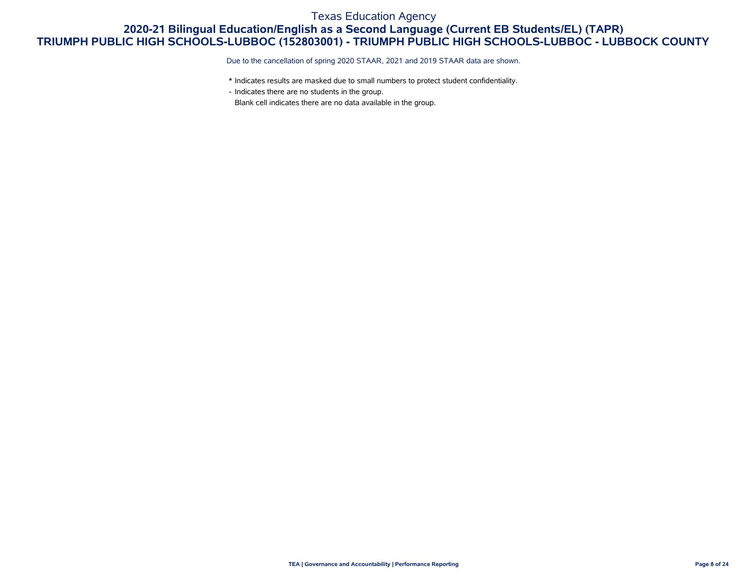#### Texas Education Agency

### **2020-21 Bilingual Education/English as a Second Language (Current EB Students/EL) (TAPR) TRIUMPH PUBLIC HIGH SCHOOLS-LUBBOC (152803001) - TRIUMPH PUBLIC HIGH SCHOOLS-LUBBOC - LUBBOCK COUNTY**

Due to the cancellation of spring 2020 STAAR, 2021 and 2019 STAAR data are shown.

- \* Indicates results are masked due to small numbers to protect student confidentiality.
- Indicates there are no students in the group.

Blank cell indicates there are no data available in the group.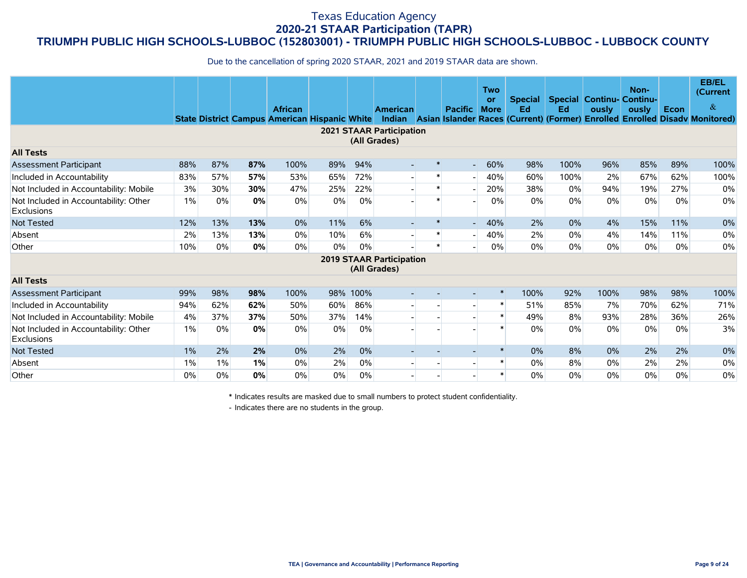### Texas Education Agency **2020-21 STAAR Participation (TAPR)**

### **TRIUMPH PUBLIC HIGH SCHOOLS-LUBBOC (152803001) - TRIUMPH PUBLIC HIGH SCHOOLS-LUBBOC - LUBBOCK COUNTY**

Due to the cancellation of spring 2020 STAAR, 2021 and 2019 STAAR data are shown.

|                                                            |       |     |       | <b>African</b><br><b>State District Campus American Hispanic White</b> |     |      | American                                        |                | <b>Pacific</b>           | Two<br>or<br><b>More</b> | <b>Special</b><br>Ed | Ed   | ously | Non-<br><b>Special Continu- Continu-</b><br>ously | Econ | <b>EB/EL</b><br>(Current<br>$\&$<br>Indian Asian Islander Races (Current) (Former) Enrolled Enrolled Disadv Monitored) |
|------------------------------------------------------------|-------|-----|-------|------------------------------------------------------------------------|-----|------|-------------------------------------------------|----------------|--------------------------|--------------------------|----------------------|------|-------|---------------------------------------------------|------|------------------------------------------------------------------------------------------------------------------------|
|                                                            |       |     |       |                                                                        |     |      | <b>2021 STAAR Participation</b><br>(All Grades) |                |                          |                          |                      |      |       |                                                   |      |                                                                                                                        |
| <b>All Tests</b>                                           |       |     |       |                                                                        |     |      |                                                 |                |                          |                          |                      |      |       |                                                   |      |                                                                                                                        |
| <b>Assessment Participant</b>                              | 88%   | 87% | 87%   | 100%                                                                   | 89% | 94%  |                                                 |                | $\blacksquare$           | 60%                      | 98%                  | 100% | 96%   | 85%                                               | 89%  | 100%                                                                                                                   |
| Included in Accountability                                 | 83%   | 57% | 57%   | 53%                                                                    | 65% | 72%  |                                                 |                |                          | 40%                      | 60%                  | 100% | 2%    | 67%                                               | 62%  | 100%                                                                                                                   |
| Not Included in Accountability: Mobile                     | 3%    | 30% | 30%   | 47%                                                                    | 25% | 22%  |                                                 |                |                          | 20%                      | 38%                  | 0%   | 94%   | 19%                                               | 27%  | 0%                                                                                                                     |
| Not Included in Accountability: Other<br>Exclusions        | 1%    | 0%  | 0%    | 0%                                                                     | 0%  | 0%   |                                                 |                |                          | 0%                       | $0\%$                | 0%   | 0%    | $0\%$                                             | 0%   | 0%                                                                                                                     |
| <b>Not Tested</b>                                          | 12%   | 13% | 13%   | 0%                                                                     | 11% | 6%   |                                                 |                | $\blacksquare$           | 40%                      | 2%                   | 0%   | 4%    | 15%                                               | 11%  | 0%                                                                                                                     |
| Absent                                                     | 2%    | 13% | 13%   | $0\%$                                                                  | 10% | 6%   |                                                 |                |                          | 40%                      | 2%                   | 0%   | 4%    | 14%                                               | 11%  | 0%                                                                                                                     |
| Other                                                      | 10%   | 0%  | 0%    | 0%                                                                     | 0%  | 0%   |                                                 |                |                          | 0%                       | 0%                   | 0%   | 0%    | 0%                                                | 0%   | 0%                                                                                                                     |
|                                                            |       |     |       |                                                                        |     |      | <b>2019 STAAR Participation</b><br>(All Grades) |                |                          |                          |                      |      |       |                                                   |      |                                                                                                                        |
| <b>All Tests</b>                                           |       |     |       |                                                                        |     |      |                                                 |                |                          |                          |                      |      |       |                                                   |      |                                                                                                                        |
| Assessment Participant                                     | 99%   | 98% | 98%   | 100%                                                                   | 98% | 100% | $\overline{\phantom{a}}$                        | $\blacksquare$ | $\overline{\phantom{a}}$ | $\ast$                   | 100%                 | 92%  | 100%  | 98%                                               | 98%  | 100%                                                                                                                   |
| Included in Accountability                                 | 94%   | 62% | 62%   | 50%                                                                    | 60% | 86%  | $\overline{\phantom{a}}$                        |                | $\overline{\phantom{a}}$ | $\ast$                   | 51%                  | 85%  | 7%    | 70%                                               | 62%  | 71%                                                                                                                    |
| Not Included in Accountability: Mobile                     | 4%    | 37% | 37%   | 50%                                                                    | 37% | 14%  |                                                 |                |                          | $\ast$                   | 49%                  | 8%   | 93%   | 28%                                               | 36%  | 26%                                                                                                                    |
| Not Included in Accountability: Other<br><b>Exclusions</b> | $1\%$ | 0%  | 0%    | 0%                                                                     | 0%  | 0%   |                                                 |                |                          |                          | $0\%$                | 0%   | 0%    | $0\%$                                             | 0%   | 3%                                                                                                                     |
| <b>Not Tested</b>                                          | 1%    | 2%  | 2%    | 0%                                                                     | 2%  | 0%   |                                                 |                |                          | $\ast$                   | 0%                   | 8%   | 0%    | 2%                                                | 2%   | 0%                                                                                                                     |
| Absent                                                     | $1\%$ | 1%  | $1\%$ | 0%                                                                     | 2%  | 0%   | $\overline{\phantom{a}}$                        |                |                          | $\ast$                   | $0\%$                | 8%   | 0%    | 2%                                                | 2%   | 0%                                                                                                                     |
| Other                                                      | $0\%$ | 0%  | 0%    | 0%                                                                     | 0%  | 0%   |                                                 |                |                          | $\ast$                   | 0%                   | 0%   | 0%    | 0%                                                | 0%   | 0%                                                                                                                     |

\* Indicates results are masked due to small numbers to protect student confidentiality.

- Indicates there are no students in the group.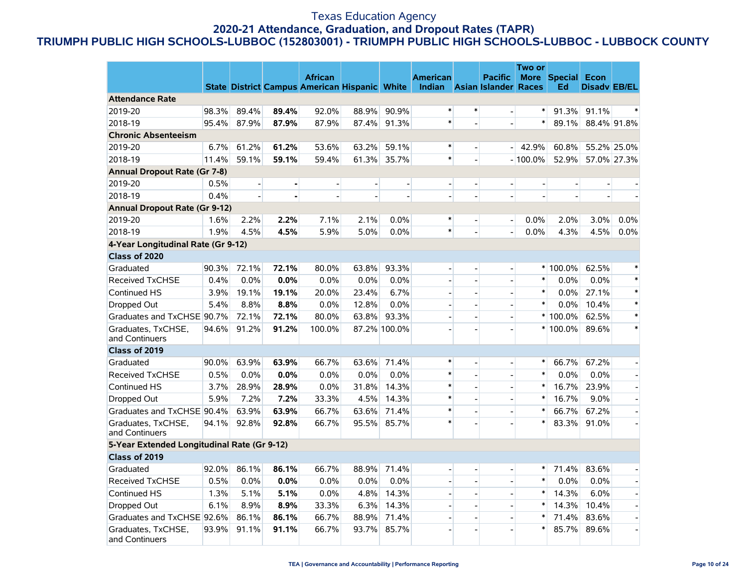### Texas Education Agency **2020-21 Attendance, Graduation, and Dropout Rates (TAPR) TRIUMPH PUBLIC HIGH SCHOOLS-LUBBOC (152803001) - TRIUMPH PUBLIC HIGH SCHOOLS-LUBBOC - LUBBOCK COUNTY**

|                                             |       |                          |                |                                                                        |       |                          |                          |                          |                                                      | Two or       |                         |                     |             |
|---------------------------------------------|-------|--------------------------|----------------|------------------------------------------------------------------------|-------|--------------------------|--------------------------|--------------------------|------------------------------------------------------|--------------|-------------------------|---------------------|-------------|
|                                             |       |                          |                | <b>African</b><br><b>State District Campus American Hispanic White</b> |       |                          | <b>American</b>          |                          | <b>Pacific</b><br><b>Indian</b> Asian Islander Races |              | More Special Econ<br>Ed | <b>Disadv EB/EL</b> |             |
| <b>Attendance Rate</b>                      |       |                          |                |                                                                        |       |                          |                          |                          |                                                      |              |                         |                     |             |
| 2019-20                                     | 98.3% | 89.4%                    | 89.4%          | 92.0%                                                                  | 88.9% | 90.9%                    | $\ast$                   | $\ast$                   |                                                      | $\ast$       | 91.3%                   | 91.1%               |             |
| 2018-19                                     | 95.4% | 87.9%                    | 87.9%          | 87.9%                                                                  | 87.4% | 91.3%                    | $\pmb{\ast}$             |                          | $\overline{\phantom{a}}$                             | $\ast$       | 89.1%                   | 88.4% 91.8%         |             |
| <b>Chronic Absenteeism</b>                  |       |                          |                |                                                                        |       |                          |                          |                          |                                                      |              |                         |                     |             |
| 2019-20                                     | 6.7%  | 61.2%                    | 61.2%          | 53.6%                                                                  | 63.2% | 59.1%                    | $\ast$                   | $\overline{\phantom{a}}$ | $\overline{a}$                                       | 42.9%        | 60.8%                   |                     | 55.2% 25.0% |
| 2018-19                                     | 11.4% | 59.1%                    | 59.1%          | 59.4%                                                                  | 61.3% | 35.7%                    | $\ast$                   |                          |                                                      | $-100.0\%$   | 52.9%                   | 57.0% 27.3%         |             |
| <b>Annual Dropout Rate (Gr 7-8)</b>         |       |                          |                |                                                                        |       |                          |                          |                          |                                                      |              |                         |                     |             |
| 2019-20                                     | 0.5%  | $\overline{\phantom{a}}$ | $\blacksquare$ | $\overline{\phantom{a}}$                                               |       | $\overline{\phantom{0}}$ | $\overline{\phantom{0}}$ | $\overline{\phantom{a}}$ | $\overline{\phantom{a}}$                             |              |                         |                     |             |
| 2018-19                                     | 0.4%  |                          |                |                                                                        |       |                          |                          |                          |                                                      |              |                         |                     |             |
| <b>Annual Dropout Rate (Gr 9-12)</b>        |       |                          |                |                                                                        |       |                          |                          |                          |                                                      |              |                         |                     |             |
| 2019-20                                     | 1.6%  | 2.2%                     | 2.2%           | 7.1%                                                                   | 2.1%  | 0.0%                     | $\ast$                   | $\overline{a}$           | $\overline{\phantom{a}}$                             | $0.0\%$      | 2.0%                    | $3.0\%$             | 0.0%        |
| 2018-19                                     | 1.9%  | 4.5%                     | 4.5%           | 5.9%                                                                   | 5.0%  | 0.0%                     | $\ast$                   |                          | $\blacksquare$                                       | 0.0%         | 4.3%                    | 4.5%                | 0.0%        |
| 4-Year Longitudinal Rate (Gr 9-12)          |       |                          |                |                                                                        |       |                          |                          |                          |                                                      |              |                         |                     |             |
| Class of 2020                               |       |                          |                |                                                                        |       |                          |                          |                          |                                                      |              |                         |                     |             |
| Graduated                                   | 90.3% | 72.1%                    | 72.1%          | 80.0%                                                                  | 63.8% | 93.3%                    | $\blacksquare$           | $\overline{a}$           | $\overline{\phantom{a}}$                             |              | $*100.0\%$              | 62.5%               |             |
| <b>Received TxCHSE</b>                      | 0.4%  | 0.0%                     | 0.0%           | 0.0%                                                                   | 0.0%  | 0.0%                     |                          | $\overline{a}$           | $\overline{\phantom{a}}$                             | $\ast$       | 0.0%                    | 0.0%                | $\ast$      |
| Continued HS                                | 3.9%  | 19.1%                    | 19.1%          | 20.0%                                                                  | 23.4% | 6.7%                     | $\overline{a}$           | $\overline{a}$           | $\overline{\phantom{a}}$                             | $\pmb{\ast}$ | $0.0\%$                 | 27.1%               | $\ast$      |
| Dropped Out                                 | 5.4%  | 8.8%                     | 8.8%           | 0.0%                                                                   | 12.8% | 0.0%                     |                          |                          |                                                      | $\pmb{\ast}$ | $0.0\%$                 | 10.4%               | $\ast$      |
| Graduates and TxCHSE 90.7%                  |       | 72.1%                    | 72.1%          | 80.0%                                                                  | 63.8% | 93.3%                    | $\overline{a}$           |                          | $\overline{a}$                                       |              | $*100.0\%$              | 62.5%               | $\ast$      |
| Graduates, TxCHSE,<br>and Continuers        | 94.6% | 91.2%                    | 91.2%          | 100.0%                                                                 |       | 87.2% 100.0%             |                          |                          |                                                      |              | $*100.0\%$              | 89.6%               | $\ast$      |
| Class of 2019                               |       |                          |                |                                                                        |       |                          |                          |                          |                                                      |              |                         |                     |             |
| Graduated                                   | 90.0% | 63.9%                    | 63.9%          | 66.7%                                                                  | 63.6% | 71.4%                    | $\ast$                   |                          |                                                      | $\ast$       | 66.7%                   | 67.2%               |             |
| <b>Received TxCHSE</b>                      | 0.5%  | 0.0%                     | 0.0%           | 0.0%                                                                   | 0.0%  | 0.0%                     | $\ast$                   |                          | $\overline{a}$                                       | $\ast$       | 0.0%                    | 0.0%                |             |
| Continued HS                                | 3.7%  | 28.9%                    | 28.9%          | 0.0%                                                                   | 31.8% | 14.3%                    | $\ast$                   | $\overline{a}$           | $\overline{\phantom{a}}$                             | $\ast$       | 16.7%                   | 23.9%               |             |
| Dropped Out                                 | 5.9%  | 7.2%                     | 7.2%           | 33.3%                                                                  | 4.5%  | 14.3%                    | $\ast$                   | $\overline{\phantom{a}}$ | $\blacksquare$                                       | $\pmb{\ast}$ | 16.7%                   | 9.0%                |             |
| Graduates and TxCHSE 90.4%                  |       | 63.9%                    | 63.9%          | 66.7%                                                                  | 63.6% | 71.4%                    | $\pmb{\ast}$             |                          |                                                      | $\ast$       | 66.7%                   | 67.2%               |             |
| Graduates, TxCHSE,<br>and Continuers        | 94.1% | 92.8%                    | 92.8%          | 66.7%                                                                  | 95.5% | 85.7%                    | $\ast$                   |                          |                                                      | $\ast$       | 83.3%                   | 91.0%               |             |
| 5-Year Extended Longitudinal Rate (Gr 9-12) |       |                          |                |                                                                        |       |                          |                          |                          |                                                      |              |                         |                     |             |
| Class of 2019                               |       |                          |                |                                                                        |       |                          |                          |                          |                                                      |              |                         |                     |             |
| Graduated                                   | 92.0% | 86.1%                    | 86.1%          | 66.7%                                                                  | 88.9% | 71.4%                    |                          | $\overline{\phantom{a}}$ | $\blacksquare$                                       | $\ast$       | 71.4%                   | 83.6%               |             |
| <b>Received TxCHSE</b>                      | 0.5%  | 0.0%                     | 0.0%           | 0.0%                                                                   | 0.0%  | 0.0%                     |                          | $\overline{a}$           | $\sim$                                               | $\ast$       | 0.0%                    | 0.0%                |             |
| Continued HS                                | 1.3%  | 5.1%                     | 5.1%           | 0.0%                                                                   | 4.8%  | 14.3%                    |                          | $\overline{\phantom{a}}$ | $\overline{\phantom{a}}$                             | $\ast$       | 14.3%                   | 6.0%                |             |
| Dropped Out                                 | 6.1%  | 8.9%                     | 8.9%           | 33.3%                                                                  | 6.3%  | 14.3%                    | $\overline{a}$           | $\overline{a}$           | $\overline{\phantom{a}}$                             | $\ast$       | 14.3%                   | 10.4%               |             |
| Graduates and TxCHSE 92.6%                  |       | 86.1%                    | 86.1%          | 66.7%                                                                  | 88.9% | 71.4%                    |                          |                          |                                                      | $\ast$       | 71.4%                   | 83.6%               |             |
| Graduates, TxCHSE,<br>and Continuers        | 93.9% | 91.1%                    | 91.1%          | 66.7%                                                                  | 93.7% | 85.7%                    |                          |                          |                                                      | $\ast$       | 85.7%                   | 89.6%               |             |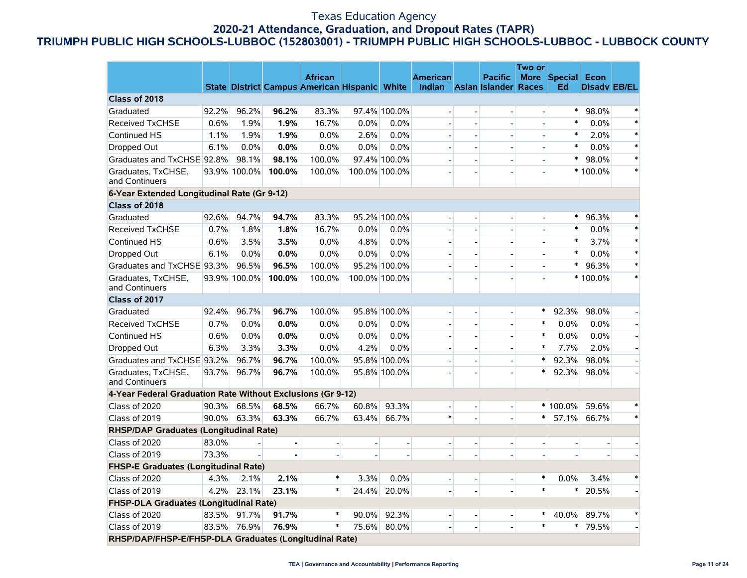### Texas Education Agency **2020-21 Attendance, Graduation, and Dropout Rates (TAPR) TRIUMPH PUBLIC HIGH SCHOOLS-LUBBOC (152803001) - TRIUMPH PUBLIC HIGH SCHOOLS-LUBBOC - LUBBOCK COUNTY**

|                                                             |       |              |        |                                                                 |               |                |                           |                          |                                               | Two or         |                         |                     |        |
|-------------------------------------------------------------|-------|--------------|--------|-----------------------------------------------------------------|---------------|----------------|---------------------------|--------------------------|-----------------------------------------------|----------------|-------------------------|---------------------|--------|
|                                                             |       |              |        | <b>African</b><br>State District Campus American Hispanic White |               |                | <b>American</b><br>Indian |                          | <b>Pacific</b><br><b>Asian Islander Races</b> |                | More Special Econ<br>Ed | <b>Disady EB/EL</b> |        |
| Class of 2018                                               |       |              |        |                                                                 |               |                |                           |                          |                                               |                |                         |                     |        |
| Graduated                                                   | 92.2% | 96.2%        | 96.2%  | 83.3%                                                           |               | 97.4% 100.0%   |                           |                          |                                               |                | $\ast$                  | 98.0%               |        |
| <b>Received TxCHSE</b>                                      | 0.6%  | 1.9%         | 1.9%   | 16.7%                                                           | 0.0%          | 0.0%           |                           |                          |                                               |                | $\ast$                  | 0.0%                | $\ast$ |
| <b>Continued HS</b>                                         | 1.1%  | 1.9%         | 1.9%   | 0.0%                                                            | 2.6%          | 0.0%           | $\overline{a}$            |                          |                                               |                | $\ast$                  | 2.0%                | $\ast$ |
| Dropped Out                                                 | 6.1%  | 0.0%         | 0.0%   | 0.0%                                                            | 0.0%          | 0.0%           | $\overline{\phantom{0}}$  | $\overline{\phantom{0}}$ | $\overline{\phantom{a}}$                      |                | $\ast$                  | 0.0%                | $\ast$ |
| Graduates and TxCHSE 92.8%                                  |       | 98.1%        | 98.1%  | 100.0%                                                          |               | 97.4% 100.0%   |                           |                          |                                               |                | $\ast$                  | 98.0%               | $\ast$ |
| Graduates, TxCHSE,<br>and Continuers                        |       | 93.9% 100.0% | 100.0% | 100.0%                                                          | 100.0% 100.0% |                |                           |                          |                                               |                |                         | * 100.0%            |        |
| 6-Year Extended Longitudinal Rate (Gr 9-12)                 |       |              |        |                                                                 |               |                |                           |                          |                                               |                |                         |                     |        |
| Class of 2018                                               |       |              |        |                                                                 |               |                |                           |                          |                                               |                |                         |                     |        |
| Graduated                                                   | 92.6% | 94.7%        | 94.7%  | 83.3%                                                           |               | 95.2% 100.0%   |                           |                          | $\overline{a}$                                |                | $\ast$                  | 96.3%               |        |
| Received TxCHSE                                             | 0.7%  | 1.8%         | 1.8%   | 16.7%                                                           | 0.0%          | 0.0%           |                           |                          |                                               |                | $\ast$                  | 0.0%                |        |
| Continued HS                                                | 0.6%  | 3.5%         | 3.5%   | 0.0%                                                            | 4.8%          | 0.0%           |                           | $\overline{a}$           | $\blacksquare$                                |                | $\ast$                  | 3.7%                | $\ast$ |
| Dropped Out                                                 | 6.1%  | 0.0%         | 0.0%   | 0.0%                                                            | 0.0%          | 0.0%           |                           | $\overline{\phantom{a}}$ | $\overline{\phantom{a}}$                      |                | $\ast$                  | 0.0%                | $\ast$ |
| Graduates and TxCHSE 93.3%                                  |       | 96.5%        | 96.5%  | 100.0%                                                          |               | 95.2% 100.0%   |                           |                          | $\blacksquare$                                |                | $\ast$                  | 96.3%               | $\ast$ |
| Graduates, TxCHSE,<br>and Continuers                        |       | 93.9% 100.0% | 100.0% | 100.0%                                                          | 100.0% 100.0% |                |                           |                          |                                               |                |                         | $*100.0\%$          | $\ast$ |
| Class of 2017                                               |       |              |        |                                                                 |               |                |                           |                          |                                               |                |                         |                     |        |
| Graduated                                                   | 92.4% | 96.7%        | 96.7%  | 100.0%                                                          |               | 95.8% 100.0%   |                           | $\overline{\phantom{a}}$ | $\blacksquare$                                | $\ast$         | 92.3%                   | 98.0%               |        |
| <b>Received TxCHSE</b>                                      | 0.7%  | 0.0%         | 0.0%   | 0.0%                                                            | 0.0%          | 0.0%           |                           |                          | $\overline{\phantom{a}}$                      | $\pmb{\ast}$   | 0.0%                    | 0.0%                |        |
| Continued HS                                                | 0.6%  | 0.0%         | 0.0%   | 0.0%                                                            | 0.0%          | 0.0%           |                           |                          |                                               | $\ast$         | 0.0%                    | 0.0%                |        |
| Dropped Out                                                 | 6.3%  | 3.3%         | 3.3%   | 0.0%                                                            | 4.2%          | 0.0%           |                           |                          |                                               | $\pmb{\ast}$   | 7.7%                    | 2.0%                |        |
| Graduates and TxCHSE 93.2%                                  |       | 96.7%        | 96.7%  | 100.0%                                                          |               | 95.8% 100.0%   | $\overline{a}$            |                          | $\overline{a}$                                | $\ast$         | 92.3%                   | 98.0%               |        |
| Graduates, TxCHSE,<br>and Continuers                        | 93.7% | 96.7%        | 96.7%  | 100.0%                                                          |               | 95.8% 100.0%   |                           |                          |                                               | $\ast$         | 92.3%                   | 98.0%               |        |
| 4-Year Federal Graduation Rate Without Exclusions (Gr 9-12) |       |              |        |                                                                 |               |                |                           |                          |                                               |                |                         |                     |        |
| Class of 2020                                               |       | 90.3% 68.5%  | 68.5%  | 66.7%                                                           | 60.8%         | 93.3%          |                           |                          |                                               |                | $*100.0\%$              | 59.6%               |        |
| Class of 2019                                               |       | 90.0% 63.3%  | 63.3%  | 66.7%                                                           | 63.4%         | 66.7%          | $\pmb{\ast}$              |                          |                                               | $\ast$         | 57.1%                   | 66.7%               |        |
| <b>RHSP/DAP Graduates (Longitudinal Rate)</b>               |       |              |        |                                                                 |               |                |                           |                          |                                               |                |                         |                     |        |
| Class of 2020                                               | 83.0% |              | ٠      | $\sim$                                                          |               | $\overline{a}$ | $\overline{a}$            | $\overline{a}$           | $\overline{a}$                                | $\blacksquare$ |                         |                     |        |
| Class of 2019                                               | 73.3% |              |        |                                                                 |               |                |                           |                          |                                               |                |                         |                     |        |
| <b>FHSP-E Graduates (Longitudinal Rate)</b>                 |       |              |        |                                                                 |               |                |                           |                          |                                               |                |                         |                     |        |
| Class of 2020                                               | 4.3%  | 2.1%         | 2.1%   | $\ast$                                                          | 3.3%          | 0.0%           |                           |                          |                                               | $\ast$         | 0.0%                    | 3.4%                |        |
| Class of 2019                                               | 4.2%  | 23.1%        | 23.1%  | $\ast$                                                          | 24.4%         | 20.0%          |                           |                          |                                               | $\ast$         | $\ast$                  | 20.5%               |        |
| <b>FHSP-DLA Graduates (Longitudinal Rate)</b>               |       |              |        |                                                                 |               |                |                           |                          |                                               |                |                         |                     |        |
| Class of 2020                                               |       | 83.5% 91.7%  | 91.7%  | $\ast$                                                          | 90.0%         | 92.3%          | $\overline{\phantom{a}}$  | $\overline{a}$           | $\overline{a}$                                | $\ast$         | 40.0%                   | 89.7%               |        |
| Class of 2019                                               |       | 83.5% 76.9%  | 76.9%  | $\ast$                                                          |               | 75.6% 80.0%    |                           |                          |                                               | $\ast$         | $\ast$                  | 79.5%               |        |
| RHSP/DAP/FHSP-E/FHSP-DLA Graduates (Longitudinal Rate)      |       |              |        |                                                                 |               |                |                           |                          |                                               |                |                         |                     |        |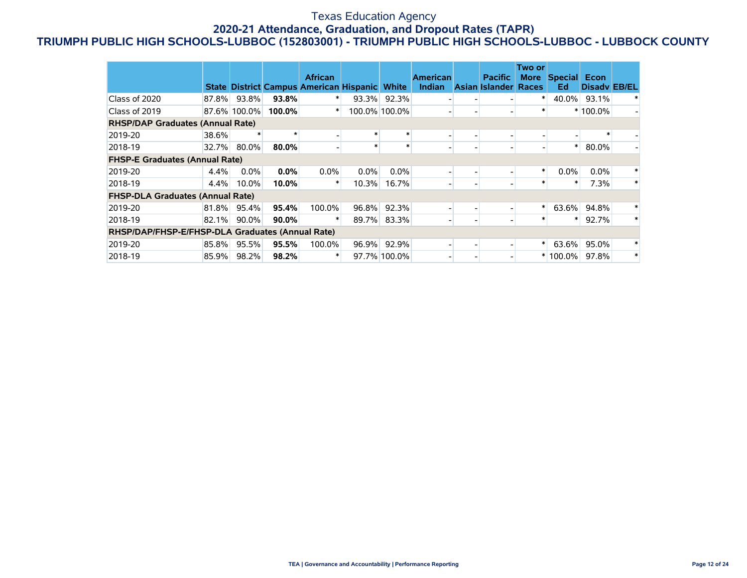### Texas Education Agency **2020-21 Attendance, Graduation, and Dropout Rates (TAPR) TRIUMPH PUBLIC HIGH SCHOOLS-LUBBOC (152803001) - TRIUMPH PUBLIC HIGH SCHOOLS-LUBBOC - LUBBOCK COUNTY**

|                                                  |          |              |          | <b>African</b>                                       |         |               | <b>American</b> | <b>Pacific</b>       | Two or<br>More | <b>Special Econ</b> |                     |        |
|--------------------------------------------------|----------|--------------|----------|------------------------------------------------------|---------|---------------|-----------------|----------------------|----------------|---------------------|---------------------|--------|
|                                                  |          |              |          | <b>State District Campus American Hispanic White</b> |         |               | Indian          | Asian Islander Races |                | Ed                  | <b>Disady EB/EL</b> |        |
| Class of 2020                                    |          | 87.8% 93.8%  | 93.8%    | ∗                                                    |         | 93.3% 92.3%   |                 |                      | ∗              |                     | 40.0% 93.1%         |        |
| Class of 2019                                    |          | 87.6% 100.0% | 100.0%   | $\ast$                                               |         | 100.0% 100.0% |                 |                      |                |                     | $*100.0\%$          |        |
| <b>RHSP/DAP Graduates (Annual Rate)</b>          |          |              |          |                                                      |         |               |                 |                      |                |                     |                     |        |
| 2019-20                                          | 38.6%    |              | $\star$  |                                                      |         | $\ast$        |                 |                      |                |                     | $\ast$              |        |
| 2018-19                                          | $32.7\%$ | $80.0\%$     | 80.0%    |                                                      |         | $\ast$        |                 |                      |                |                     | 80.0%               |        |
| <b>FHSP-E Graduates (Annual Rate)</b>            |          |              |          |                                                      |         |               |                 |                      |                |                     |                     |        |
| 2019-20                                          | 4.4%     | $0.0\%$      | $0.0\%$  | $0.0\%$                                              | $0.0\%$ | $0.0\%$       |                 |                      | $\ast$         | $0.0\%$             | $0.0\%$             | $\ast$ |
| 2018-19                                          | 4.4%     | 10.0%        | 10.0%    | *                                                    | 10.3%   | 16.7%         |                 |                      |                |                     | 7.3%                | $\ast$ |
| <b>FHSP-DLA Graduates (Annual Rate)</b>          |          |              |          |                                                      |         |               |                 |                      |                |                     |                     |        |
| 2019-20                                          | 81.8%    | 95.4%        | 95.4%    | 100.0%                                               | 96.8%   | 92.3%         |                 |                      | $\ast$         | 63.6%               | 94.8%               |        |
| 2018-19                                          | 82.1%    | $90.0\%$     | $90.0\%$ | *                                                    |         | 89.7% 83.3%   |                 |                      |                |                     | 92.7%               | $\ast$ |
| RHSP/DAP/FHSP-E/FHSP-DLA Graduates (Annual Rate) |          |              |          |                                                      |         |               |                 |                      |                |                     |                     |        |
| 2019-20                                          | 85.8%    | 95.5%        | 95.5%    | 100.0%                                               | 96.9%   | 92.9%         |                 |                      | $\ast$         | 63.6%               | 95.0%               |        |
| 2018-19                                          | 85.9%    | 98.2%        | 98.2%    | *                                                    |         | 97.7% 100.0%  |                 |                      | $\ast$         |                     | 100.0% 97.8%        | $\ast$ |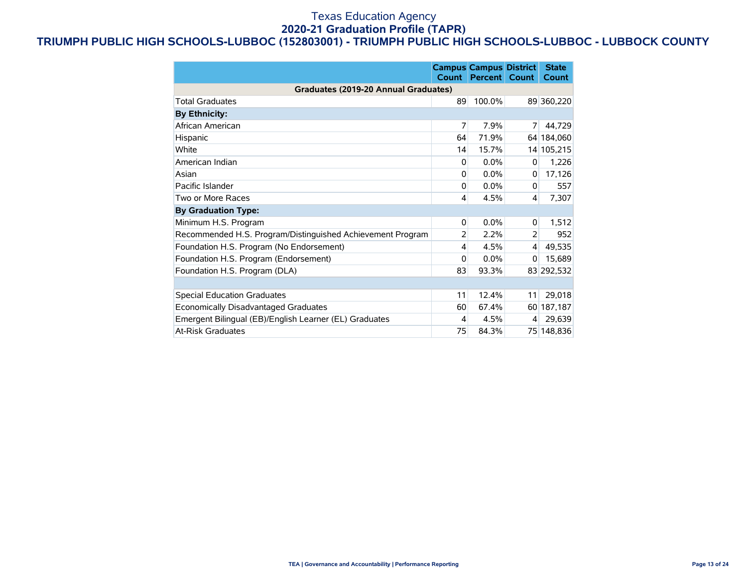### Texas Education Agency **2020-21 Graduation Profile (TAPR)**

|                                                            | <b>Count</b> | <b>Campus Campus District</b><br><b>Percent</b> | <b>Count</b>   | <b>State</b><br>Count |
|------------------------------------------------------------|--------------|-------------------------------------------------|----------------|-----------------------|
| Graduates (2019-20 Annual Graduates)                       |              |                                                 |                |                       |
| <b>Total Graduates</b>                                     | 89           | 100.0%                                          |                | 89 360,220            |
| <b>By Ethnicity:</b>                                       |              |                                                 |                |                       |
| African American                                           | 7            | 7.9%                                            | 7              | 44,729                |
| Hispanic                                                   | 64           | 71.9%                                           | 64             | 184,060               |
| White                                                      | 14           | 15.7%                                           |                | 14 105,215            |
| American Indian                                            | 0            | $0.0\%$                                         | 0              | 1,226                 |
| Asian                                                      | 0            | $0.0\%$                                         | 0              | 17,126                |
| Pacific Islander                                           | 0            | 0.0%                                            | 0              | 557                   |
| Two or More Races                                          | 4            | 4.5%                                            | 4              | 7,307                 |
| <b>By Graduation Type:</b>                                 |              |                                                 |                |                       |
| Minimum H.S. Program                                       | 0            | 0.0%                                            | 0              | 1,512                 |
| Recommended H.S. Program/Distinguished Achievement Program | 2            | 2.2%                                            | $\overline{2}$ | 952                   |
| Foundation H.S. Program (No Endorsement)                   | 4            | 4.5%                                            | 4              | 49,535                |
| Foundation H.S. Program (Endorsement)                      | 0            | 0.0%                                            | 0              | 15,689                |
| Foundation H.S. Program (DLA)                              | 83           | 93.3%                                           |                | 83 292,532            |
|                                                            |              |                                                 |                |                       |
| <b>Special Education Graduates</b>                         | 11           | 12.4%                                           | 11             | 29,018                |
| Economically Disadvantaged Graduates                       | 60           | 67.4%                                           |                | 60 187,187            |
| Emergent Bilingual (EB)/English Learner (EL) Graduates     | 4            | 4.5%                                            | 4              | 29,639                |
| <b>At-Risk Graduates</b>                                   | 75           | 84.3%                                           |                | 75 148,836            |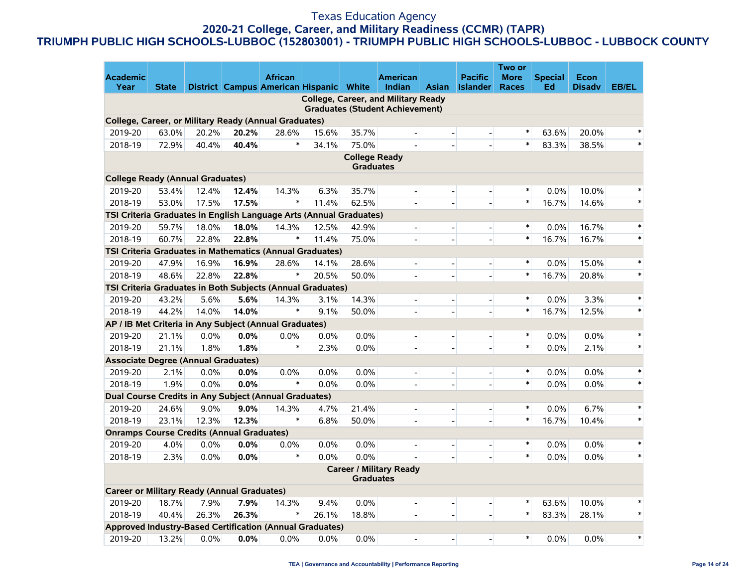### Texas Education Agency **2020-21 College, Career, and Military Readiness (CCMR) (TAPR) TRIUMPH PUBLIC HIGH SCHOOLS-LUBBOC (152803001) - TRIUMPH PUBLIC HIGH SCHOOLS-LUBBOC - LUBBOCK COUNTY**

|                                                                    |              |       |       |                                                           |       |                      |                                            |                          |                                   | Two or                      |                      |                       |              |
|--------------------------------------------------------------------|--------------|-------|-------|-----------------------------------------------------------|-------|----------------------|--------------------------------------------|--------------------------|-----------------------------------|-----------------------------|----------------------|-----------------------|--------------|
| <b>Academic</b><br>Year                                            | <b>State</b> |       |       | <b>African</b><br>District Campus American Hispanic White |       |                      | <b>American</b><br>Indian                  | <b>Asian</b>             | <b>Pacific</b><br><b>Islander</b> | <b>More</b><br><b>Races</b> | <b>Special</b><br>Ed | Econ<br><b>Disadv</b> | <b>EB/EL</b> |
|                                                                    |              |       |       |                                                           |       |                      | <b>College, Career, and Military Ready</b> |                          |                                   |                             |                      |                       |              |
|                                                                    |              |       |       |                                                           |       |                      | <b>Graduates (Student Achievement)</b>     |                          |                                   |                             |                      |                       |              |
| College, Career, or Military Ready (Annual Graduates)              |              |       |       |                                                           |       |                      |                                            |                          |                                   |                             |                      |                       |              |
| 2019-20                                                            | 63.0%        | 20.2% | 20.2% | 28.6%                                                     | 15.6% | 35.7%                |                                            | $\overline{a}$           |                                   | $\ast$                      | 63.6%                | 20.0%                 |              |
| 2018-19                                                            | 72.9%        | 40.4% | 40.4% | $\ast$                                                    | 34.1% | 75.0%                |                                            |                          |                                   | $\ast$                      | 83.3%                | 38.5%                 |              |
|                                                                    |              |       |       |                                                           |       | <b>College Ready</b> |                                            |                          |                                   |                             |                      |                       |              |
|                                                                    |              |       |       |                                                           |       | <b>Graduates</b>     |                                            |                          |                                   |                             |                      |                       |              |
| <b>College Ready (Annual Graduates)</b>                            |              |       |       |                                                           |       |                      |                                            |                          |                                   |                             |                      |                       |              |
| 2019-20                                                            | 53.4%        | 12.4% | 12.4% | 14.3%                                                     | 6.3%  | 35.7%                |                                            | $\overline{a}$           | $\overline{\phantom{a}}$          | $\ast$                      | 0.0%                 | 10.0%                 |              |
| 2018-19                                                            | 53.0%        | 17.5% | 17.5% | $\ast$                                                    | 11.4% | 62.5%                |                                            |                          |                                   | $\ast$                      | 16.7%                | 14.6%                 |              |
| TSI Criteria Graduates in English Language Arts (Annual Graduates) |              |       |       |                                                           |       |                      |                                            |                          |                                   |                             |                      |                       |              |
| 2019-20                                                            | 59.7%        | 18.0% | 18.0% | 14.3%                                                     | 12.5% | 42.9%                |                                            | $\overline{\phantom{a}}$ |                                   | $\ast$                      | 0.0%                 | 16.7%                 |              |
| 2018-19                                                            | 60.7%        | 22.8% | 22.8% | $\ast$                                                    | 11.4% | 75.0%                |                                            |                          |                                   | $\ast$                      | 16.7%                | 16.7%                 |              |
| <b>TSI Criteria Graduates in Mathematics (Annual Graduates)</b>    |              |       |       |                                                           |       |                      |                                            |                          |                                   |                             |                      |                       |              |
| 2019-20                                                            | 47.9%        | 16.9% | 16.9% | 28.6%                                                     | 14.1% | 28.6%                |                                            | $\overline{\phantom{a}}$ |                                   | $\ast$                      | 0.0%                 | 15.0%                 |              |
| 2018-19                                                            | 48.6%        | 22.8% | 22.8% | $\ast$                                                    | 20.5% | 50.0%                |                                            |                          |                                   | $\ast$                      | 16.7%                | 20.8%                 |              |
| TSI Criteria Graduates in Both Subjects (Annual Graduates)         |              |       |       |                                                           |       |                      |                                            |                          |                                   |                             |                      |                       |              |
| 2019-20                                                            | 43.2%        | 5.6%  | 5.6%  | 14.3%                                                     | 3.1%  | 14.3%                |                                            | $\overline{\phantom{a}}$ | $\overline{a}$                    | $\ast$                      | 0.0%                 | 3.3%                  | $\ast$       |
| 2018-19                                                            | 44.2%        | 14.0% | 14.0% | $\ast$                                                    | 9.1%  | 50.0%                |                                            |                          |                                   | $\ast$                      | 16.7%                | 12.5%                 |              |
| AP / IB Met Criteria in Any Subject (Annual Graduates)             |              |       |       |                                                           |       |                      |                                            |                          |                                   |                             |                      |                       |              |
| 2019-20                                                            | 21.1%        | 0.0%  | 0.0%  | 0.0%                                                      | 0.0%  | 0.0%                 |                                            | $\blacksquare$           | $\blacksquare$                    | $\ast$                      | 0.0%                 | 0.0%                  |              |
| 2018-19                                                            | 21.1%        | 1.8%  | 1.8%  | $\ast$                                                    | 2.3%  | 0.0%                 | $\overline{a}$                             | $\overline{\phantom{a}}$ |                                   | $\ast$                      | 0.0%                 | 2.1%                  |              |
| <b>Associate Degree (Annual Graduates)</b>                         |              |       |       |                                                           |       |                      |                                            |                          |                                   |                             |                      |                       |              |
| 2019-20                                                            | 2.1%         | 0.0%  | 0.0%  | 0.0%                                                      | 0.0%  | 0.0%                 | $\overline{a}$                             | $\Box$                   | $\Box$                            | $\ast$                      | 0.0%                 | 0.0%                  |              |
| 2018-19                                                            | 1.9%         | 0.0%  | 0.0%  | $\ast$                                                    | 0.0%  | 0.0%                 |                                            | $\overline{\phantom{a}}$ |                                   | $\ast$                      | 0.0%                 | 0.0%                  | $\ast$       |
| Dual Course Credits in Any Subject (Annual Graduates)              |              |       |       |                                                           |       |                      |                                            |                          |                                   |                             |                      |                       |              |
| 2019-20                                                            | 24.6%        | 9.0%  | 9.0%  | 14.3%                                                     | 4.7%  | 21.4%                |                                            | $\blacksquare$           |                                   | $\ast$                      | $0.0\%$              | 6.7%                  |              |
| 2018-19                                                            | 23.1%        | 12.3% | 12.3% | $\ast$                                                    | 6.8%  | 50.0%                |                                            |                          |                                   | $\ast$                      | 16.7%                | 10.4%                 |              |
| <b>Onramps Course Credits (Annual Graduates)</b>                   |              |       |       |                                                           |       |                      |                                            |                          |                                   |                             |                      |                       |              |
| 2019-20                                                            | 4.0%         | 0.0%  | 0.0%  | $0.0\%$                                                   | 0.0%  | 0.0%                 |                                            | $\blacksquare$           |                                   | $\ast$                      | 0.0%                 | 0.0%                  |              |
| 2018-19                                                            | 2.3%         | 0.0%  | 0.0%  | $\ast$                                                    | 0.0%  | 0.0%                 |                                            |                          |                                   | $\ast$                      | 0.0%                 | 0.0%                  |              |
|                                                                    |              |       |       |                                                           |       |                      | <b>Career / Military Ready</b>             |                          |                                   |                             |                      |                       |              |
|                                                                    |              |       |       |                                                           |       | <b>Graduates</b>     |                                            |                          |                                   |                             |                      |                       |              |
| <b>Career or Military Ready (Annual Graduates)</b>                 |              |       |       |                                                           |       |                      |                                            |                          |                                   |                             |                      |                       |              |
| 2019-20                                                            | 18.7%        | 7.9%  | 7.9%  | 14.3%                                                     | 9.4%  | 0.0%                 |                                            |                          |                                   | $\ast$                      | 63.6%                | 10.0%                 |              |
| 2018-19                                                            | 40.4%        | 26.3% | 26.3% | $\ast$                                                    | 26.1% | 18.8%                |                                            |                          |                                   | $\ast$                      | 83.3%                | 28.1%                 |              |
| Approved Industry-Based Certification (Annual Graduates)           |              |       |       |                                                           |       |                      |                                            |                          |                                   |                             |                      |                       |              |
| 2019-20                                                            | 13.2%        | 0.0%  | 0.0%  | 0.0%                                                      | 0.0%  | 0.0%                 |                                            | $\blacksquare$           |                                   | $\ast$                      | 0.0%                 | 0.0%                  |              |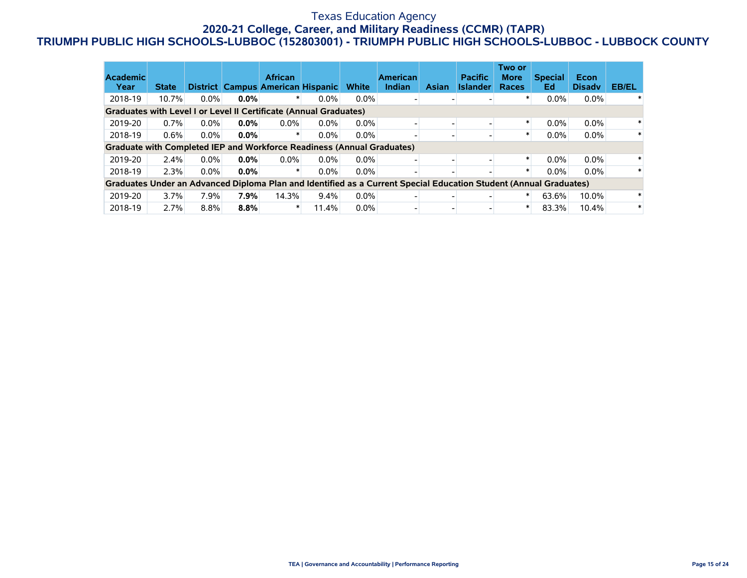### Texas Education Agency **2020-21 College, Career, and Military Readiness (CCMR) (TAPR) TRIUMPH PUBLIC HIGH SCHOOLS-LUBBOC (152803001) - TRIUMPH PUBLIC HIGH SCHOOLS-LUBBOC - LUBBOCK COUNTY**

| <b>Academic</b><br>Year                                                                                           | <b>State</b> |         |         | <b>African</b><br>District Campus American Hispanic |         | <b>White</b> | <b>American</b><br><b>Indian</b> | <b>Asian</b> | <b>Pacific</b><br><b>Islander</b> | Two or<br><b>More</b><br><b>Races</b> | <b>Special</b><br><b>Ed</b> | Econ<br><b>Disady</b> | EB/EL |
|-------------------------------------------------------------------------------------------------------------------|--------------|---------|---------|-----------------------------------------------------|---------|--------------|----------------------------------|--------------|-----------------------------------|---------------------------------------|-----------------------------|-----------------------|-------|
| 2018-19                                                                                                           | 10.7%        | $0.0\%$ | $0.0\%$ |                                                     | $0.0\%$ | $0.0\%$      |                                  |              |                                   |                                       | $0.0\%$                     | $0.0\%$               |       |
| Graduates with Level I or Level II Certificate (Annual Graduates)                                                 |              |         |         |                                                     |         |              |                                  |              |                                   |                                       |                             |                       |       |
| 2019-20                                                                                                           | 0.7%         | $0.0\%$ | $0.0\%$ | $0.0\%$                                             | $0.0\%$ | $0.0\%$      |                                  |              |                                   | $\ast$                                | $0.0\%$                     | $0.0\%$               |       |
| 2018-19                                                                                                           | 0.6%         | $0.0\%$ | $0.0\%$ |                                                     | $0.0\%$ | $0.0\%$      |                                  |              |                                   | $\ast$                                | $0.0\%$                     | $0.0\%$               |       |
| Graduate with Completed IEP and Workforce Readiness (Annual Graduates)                                            |              |         |         |                                                     |         |              |                                  |              |                                   |                                       |                             |                       |       |
| 2019-20                                                                                                           | 2.4%         | $0.0\%$ | $0.0\%$ | $0.0\%$                                             | $0.0\%$ | $0.0\%$      |                                  |              |                                   | $\ast$                                | $0.0\%$                     | $0.0\%$               |       |
| 2018-19                                                                                                           | 2.3%         | $0.0\%$ | $0.0\%$ | $\ast$                                              | $0.0\%$ | $0.0\%$      |                                  |              |                                   | $\ast$                                | $0.0\%$                     | $0.0\%$               |       |
| Graduates Under an Advanced Diploma Plan and Identified as a Current Special Education Student (Annual Graduates) |              |         |         |                                                     |         |              |                                  |              |                                   |                                       |                             |                       |       |
| 2019-20                                                                                                           | 3.7%         | 7.9%    | 7.9%    | 14.3%                                               | $9.4\%$ | $0.0\%$      |                                  |              |                                   | ∗                                     | 63.6%                       | $10.0\%$              |       |
| 2018-19                                                                                                           | 2.7%         | 8.8%    | 8.8%    | $\ast$                                              | 11.4%   | $0.0\%$      |                                  |              |                                   |                                       | 83.3%                       | 10.4%                 |       |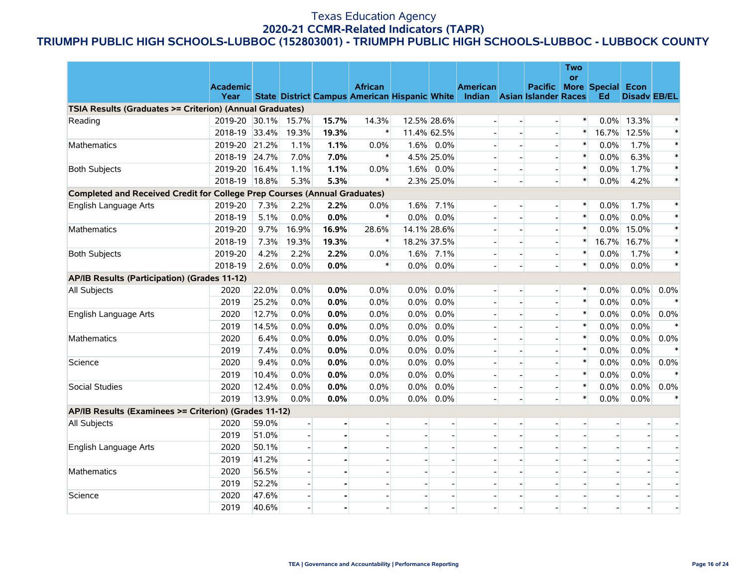# Texas Education Agency **2020-21 CCMR-Related Indicators (TAPR)**

|                                                                                  |                         |       |                          |                |                                                                                             |         |                |                          |                          |                          | Two<br><b>or</b> |                                |                     |        |
|----------------------------------------------------------------------------------|-------------------------|-------|--------------------------|----------------|---------------------------------------------------------------------------------------------|---------|----------------|--------------------------|--------------------------|--------------------------|------------------|--------------------------------|---------------------|--------|
|                                                                                  | <b>Academic</b><br>Year |       |                          |                | <b>African</b><br>State District Campus American Hispanic White Indian Asian Islander Races |         |                | <b>American</b>          |                          | <b>Pacific</b>           |                  | <b>More Special Econ</b><br>Ed | <b>Disady EB/EL</b> |        |
| TSIA Results (Graduates >= Criterion) (Annual Graduates)                         |                         |       |                          |                |                                                                                             |         |                |                          |                          |                          |                  |                                |                     |        |
| Reading                                                                          | 2019-20 30.1%           |       | 15.7%                    | 15.7%          | 14.3%                                                                                       |         | 12.5% 28.6%    | $\overline{\phantom{a}}$ | $\overline{a}$           | $\overline{\phantom{a}}$ | $\ast$           | $0.0\%$                        | 13.3%               | $\ast$ |
|                                                                                  | 2018-19 33.4%           |       | 19.3%                    | 19.3%          | $\ast$                                                                                      |         | 11.4% 62.5%    |                          | $\overline{a}$           | $\overline{a}$           | $\ast$           | 16.7%                          | 12.5%               | $\ast$ |
| <b>Mathematics</b>                                                               | 2019-20 21.2%           |       | 1.1%                     | 1.1%           | 0.0%                                                                                        |         | $1.6\%$ 0.0%   |                          |                          | $\overline{a}$           | $\ast$           | 0.0%                           | 1.7%                | $\ast$ |
|                                                                                  | 2018-19 24.7%           |       | 7.0%                     | 7.0%           | $\ast$                                                                                      |         | 4.5% 25.0%     |                          | $\overline{a}$           | $\overline{a}$           | $\ast$           | 0.0%                           | 6.3%                | $\ast$ |
| <b>Both Subjects</b>                                                             | 2019-20                 | 16.4% | 1.1%                     | 1.1%           | 0.0%                                                                                        |         | 1.6% 0.0%      | $\blacksquare$           | $\overline{a}$           | $\overline{a}$           | $\ast$           | $0.0\%$                        | 1.7%                | $\ast$ |
|                                                                                  | 2018-19                 | 18.8% | 5.3%                     | 5.3%           | $\ast$                                                                                      |         | 2.3% 25.0%     |                          |                          |                          | $\ast$           | 0.0%                           | 4.2%                | $\ast$ |
| <b>Completed and Received Credit for College Prep Courses (Annual Graduates)</b> |                         |       |                          |                |                                                                                             |         |                |                          |                          |                          |                  |                                |                     |        |
| English Language Arts                                                            | 2019-20                 | 7.3%  | 2.2%                     | 2.2%           | $0.0\%$                                                                                     | 1.6%    | 7.1%           |                          |                          | $\overline{\phantom{a}}$ | $\ast$           | 0.0%                           | 1.7%                | $\ast$ |
|                                                                                  | 2018-19                 | 5.1%  | 0.0%                     | 0.0%           | $\ast$                                                                                      | $0.0\%$ | 0.0%           |                          | $\overline{a}$           | $\overline{a}$           | $\ast$           | 0.0%                           | 0.0%                | $\ast$ |
| Mathematics                                                                      | 2019-20                 | 9.7%  | 16.9%                    | 16.9%          | 28.6%                                                                                       |         | 14.1% 28.6%    | $\blacksquare$           | $\overline{a}$           | $\overline{a}$           | $\ast$           | 0.0%                           | 15.0%               | $\ast$ |
|                                                                                  | 2018-19                 | 7.3%  | 19.3%                    | 19.3%          | $\ast$                                                                                      |         | 18.2% 37.5%    | $\blacksquare$           | $\overline{a}$           | $\overline{a}$           | $\ast$           | 16.7%                          | 16.7%               | $\ast$ |
| <b>Both Subjects</b>                                                             | 2019-20                 | 4.2%  | 2.2%                     | 2.2%           | 0.0%                                                                                        | 1.6%    | 7.1%           | $\blacksquare$           | $\overline{\phantom{a}}$ | $\overline{a}$           | $\ast$           | 0.0%                           | 1.7%                | $\ast$ |
|                                                                                  | 2018-19                 | 2.6%  | 0.0%                     | 0.0%           | $\ast$                                                                                      | $0.0\%$ | 0.0%           | $\overline{\phantom{a}}$ | $\overline{a}$           | $\overline{a}$           | $\pmb{\ast}$     | 0.0%                           | 0.0%                | $\ast$ |
| AP/IB Results (Participation) (Grades 11-12)                                     |                         |       |                          |                |                                                                                             |         |                |                          |                          |                          |                  |                                |                     |        |
| All Subjects                                                                     | 2020                    | 22.0% | 0.0%                     | 0.0%           | 0.0%                                                                                        | 0.0%    | 0.0%           |                          |                          | $\blacksquare$           | $\ast$           | 0.0%                           | 0.0%                | 0.0%   |
|                                                                                  | 2019                    | 25.2% | 0.0%                     | 0.0%           | 0.0%                                                                                        | 0.0%    | 0.0%           |                          | $\overline{a}$           | $\overline{a}$           | $\ast$           | 0.0%                           | 0.0%                |        |
| English Language Arts                                                            | 2020                    | 12.7% | $0.0\%$                  | 0.0%           | $0.0\%$                                                                                     | 0.0%    | 0.0%           | $\blacksquare$           | $\overline{\phantom{a}}$ | $\overline{a}$           | $\ast$           | 0.0%                           | 0.0%                | 0.0%   |
|                                                                                  | 2019                    | 14.5% | 0.0%                     | 0.0%           | 0.0%                                                                                        | 0.0%    | 0.0%           |                          | $\overline{a}$           | $\overline{a}$           | $\ast$           | 0.0%                           | 0.0%                |        |
| Mathematics                                                                      | 2020                    | 6.4%  | 0.0%                     | 0.0%           | 0.0%                                                                                        | 0.0%    | 0.0%           |                          |                          | $\overline{a}$           | $\ast$           | 0.0%                           | 0.0%                | 0.0%   |
|                                                                                  | 2019                    | 7.4%  | 0.0%                     | 0.0%           | 0.0%                                                                                        | 0.0%    | 0.0%           |                          |                          | $\overline{\phantom{a}}$ | $\ast$           | 0.0%                           | 0.0%                |        |
| Science                                                                          | 2020                    | 9.4%  | 0.0%                     | 0.0%           | 0.0%                                                                                        | 0.0%    | 0.0%           |                          | $\overline{\phantom{0}}$ | $\overline{\phantom{a}}$ | $\ast$           | 0.0%                           | 0.0%                | 0.0%   |
|                                                                                  | 2019                    | 10.4% | 0.0%                     | 0.0%           | 0.0%                                                                                        | 0.0%    | 0.0%           | $\blacksquare$           | $\overline{a}$           | $\overline{a}$           | $\ast$           | 0.0%                           | 0.0%                |        |
| <b>Social Studies</b>                                                            | 2020                    | 12.4% | 0.0%                     | 0.0%           | 0.0%                                                                                        | 0.0%    | 0.0%           | $\overline{\phantom{a}}$ | $\overline{\phantom{a}}$ | $\overline{\phantom{a}}$ | $\ast$           | 0.0%                           | 0.0%                | 0.0%   |
|                                                                                  | 2019                    | 13.9% | 0.0%                     | 0.0%           | 0.0%                                                                                        | 0.0%    | 0.0%           | $\overline{\phantom{a}}$ | $\overline{\phantom{a}}$ | $\overline{a}$           | $\ast$           | 0.0%                           | 0.0%                | $\ast$ |
| AP/IB Results (Examinees >= Criterion) (Grades 11-12)                            |                         |       |                          |                |                                                                                             |         |                |                          |                          |                          |                  |                                |                     |        |
| All Subjects                                                                     | 2020                    | 59.0% |                          | $\blacksquare$ |                                                                                             |         |                |                          |                          | $\overline{\phantom{a}}$ |                  |                                |                     |        |
|                                                                                  | 2019                    | 51.0% |                          | $\blacksquare$ |                                                                                             |         |                |                          |                          | $\overline{\phantom{a}}$ |                  |                                |                     |        |
| English Language Arts                                                            | 2020                    | 50.1% | $\blacksquare$           | $\blacksquare$ | $\overline{a}$                                                                              |         | $\overline{a}$ | $\overline{\phantom{a}}$ |                          | $\overline{\phantom{a}}$ |                  |                                |                     |        |
|                                                                                  | 2019                    | 41.2% | $\overline{\phantom{a}}$ | $\blacksquare$ | $\overline{a}$                                                                              |         | $\overline{a}$ | $\overline{\phantom{a}}$ |                          | $\overline{\phantom{a}}$ |                  |                                |                     |        |
| <b>Mathematics</b>                                                               | 2020                    | 56.5% | $\blacksquare$           | $\blacksquare$ |                                                                                             |         | $\overline{a}$ | $\blacksquare$           |                          | $\overline{a}$           |                  |                                |                     |        |
|                                                                                  | 2019                    | 52.2% |                          | $\blacksquare$ |                                                                                             |         |                |                          |                          | $\blacksquare$           |                  |                                |                     |        |
| Science                                                                          | 2020                    | 47.6% |                          | $\blacksquare$ |                                                                                             |         |                |                          |                          | $\blacksquare$           |                  |                                |                     |        |
|                                                                                  | 2019                    | 40.6% |                          |                |                                                                                             |         |                |                          |                          | $\overline{\phantom{a}}$ |                  |                                |                     |        |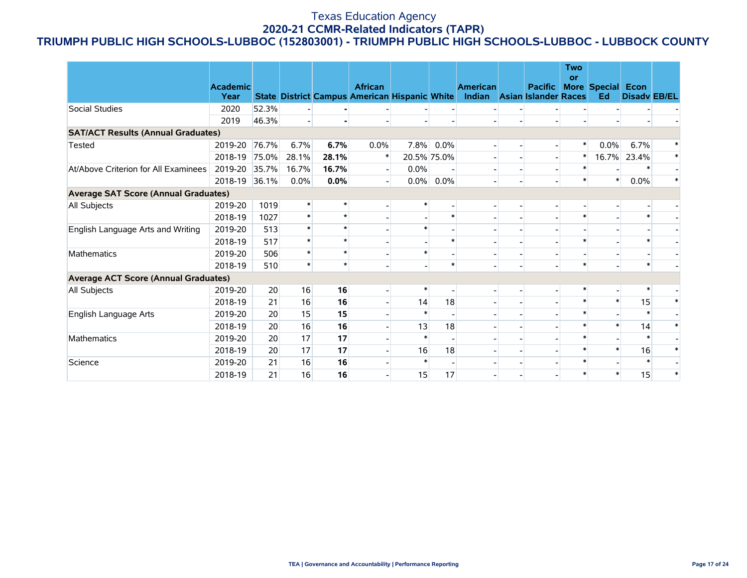### Texas Education Agency **2020-21 CCMR-Related Indicators (TAPR)**

|                                             | <b>Academic</b> |       |         |         | <b>African</b>                                       |         |             | <b>American</b> | <b>Pacific</b>              | <b>Two</b><br>or | <b>More Special</b> | Econ                |  |
|---------------------------------------------|-----------------|-------|---------|---------|------------------------------------------------------|---------|-------------|-----------------|-----------------------------|------------------|---------------------|---------------------|--|
|                                             | Year            |       |         |         | <b>State District Campus American Hispanic White</b> |         |             | Indian          | <b>Asian Islander Races</b> |                  | Ed                  | <b>Disady EB/EL</b> |  |
| <b>Social Studies</b>                       | 2020            | 52.3% |         |         |                                                      |         |             |                 |                             |                  |                     |                     |  |
|                                             | 2019            | 46.3% |         |         |                                                      |         |             |                 |                             |                  |                     |                     |  |
| <b>SAT/ACT Results (Annual Graduates)</b>   |                 |       |         |         |                                                      |         |             |                 |                             |                  |                     |                     |  |
| <b>Tested</b>                               | 2019-20         | 76.7% | 6.7%    | 6.7%    | $0.0\%$                                              | 7.8%    | $0.0\%$     |                 |                             | *                | 0.0%                | 6.7%                |  |
|                                             | 2018-19         | 75.0% | 28.1%   | 28.1%   | $\ast$                                               |         | 20.5% 75.0% |                 |                             |                  | 16.7%               | 23.4%               |  |
| At/Above Criterion for All Examinees        | 2019-20         | 35.7% | 16.7%   | 16.7%   |                                                      | 0.0%    |             |                 |                             |                  |                     |                     |  |
|                                             | 2018-19         | 36.1% | $0.0\%$ | 0.0%    |                                                      | $0.0\%$ | 0.0%        |                 |                             | $\ast$           | $\ast$              | 0.0%                |  |
| <b>Average SAT Score (Annual Graduates)</b> |                 |       |         |         |                                                      |         |             |                 |                             |                  |                     |                     |  |
| All Subjects                                | 2019-20         | 1019  | $\ast$  | $\star$ |                                                      |         |             |                 |                             |                  |                     |                     |  |
|                                             | 2018-19         | 1027  | $\ast$  |         |                                                      |         |             |                 |                             |                  |                     |                     |  |
| English Language Arts and Writing           | 2019-20         | 513   | $\ast$  | $\star$ |                                                      |         |             |                 |                             |                  |                     |                     |  |
|                                             | 2018-19         | 517   | $\ast$  | $\star$ |                                                      |         | $\ast$      |                 |                             |                  |                     |                     |  |
| <b>Mathematics</b>                          | 2019-20         | 506   | $\ast$  | $\star$ |                                                      |         |             |                 |                             |                  |                     |                     |  |
|                                             | 2018-19         | 510   | $\ast$  | $\star$ |                                                      |         | $\ast$      |                 |                             |                  |                     |                     |  |
| <b>Average ACT Score (Annual Graduates)</b> |                 |       |         |         |                                                      |         |             |                 |                             |                  |                     |                     |  |
| All Subjects                                | 2019-20         | 20    | 16      | 16      |                                                      |         |             |                 |                             |                  |                     | $\ast$              |  |
|                                             | 2018-19         | 21    | 16      | 16      |                                                      | 14      | 18          |                 |                             |                  |                     | 15                  |  |
| English Language Arts                       | 2019-20         | 20    | 15      | 15      |                                                      |         |             |                 |                             |                  |                     |                     |  |
|                                             | 2018-19         | 20    | 16      | 16      |                                                      | 13      | 18          |                 |                             |                  |                     | 14                  |  |
| <b>Mathematics</b>                          | 2019-20         | 20    | 17      | 17      |                                                      |         |             |                 |                             |                  |                     |                     |  |
|                                             | 2018-19         | 20    | 17      | 17      |                                                      | 16      | 18          |                 |                             |                  |                     | 16                  |  |
| Science                                     | 2019-20         | 21    | 16      | 16      |                                                      |         |             |                 |                             |                  |                     |                     |  |
|                                             | 2018-19         | 21    | 16      | 16      |                                                      | 15      | 17          |                 |                             |                  |                     | 15                  |  |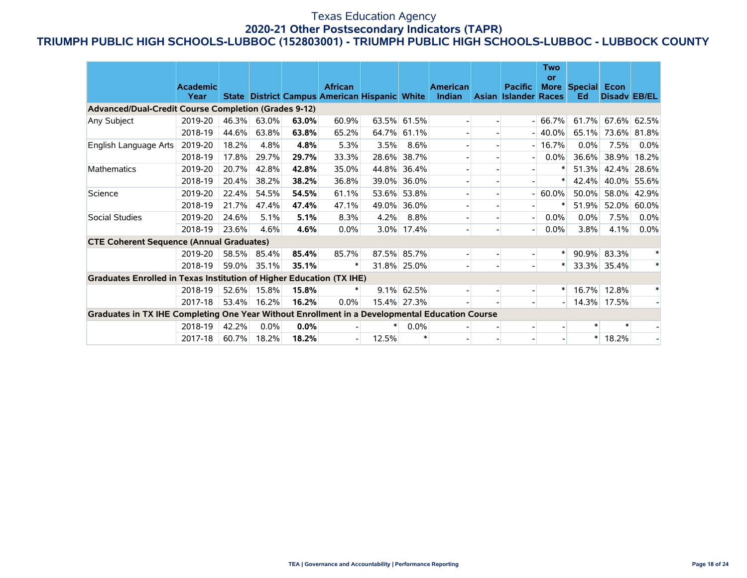### Texas Education Agency **2020-21 Other Postsecondary Indicators (TAPR) TRIUMPH PUBLIC HIGH SCHOOLS-LUBBOC (152803001) - TRIUMPH PUBLIC HIGH SCHOOLS-LUBBOC - LUBBOCK COUNTY**

|                                                                                                | <b>Academic</b><br>Year |       |       |       | <b>African</b><br>State District Campus American Hispanic White |         |               | <b>American</b><br>Indian | <b>Pacific</b><br><b>Asian Islander Races</b> | <b>Two</b><br>or | <b>More Special Econ</b><br>Ed | <b>Disady EB/EL</b> |                   |
|------------------------------------------------------------------------------------------------|-------------------------|-------|-------|-------|-----------------------------------------------------------------|---------|---------------|---------------------------|-----------------------------------------------|------------------|--------------------------------|---------------------|-------------------|
| Advanced/Dual-Credit Course Completion (Grades 9-12)                                           |                         |       |       |       |                                                                 |         |               |                           |                                               |                  |                                |                     |                   |
| Any Subject                                                                                    | 2019-20                 | 46.3% | 63.0% | 63.0% | 60.9%                                                           |         | 63.5% 61.5%   |                           |                                               | $-166.7\%$       |                                |                     | 61.7% 67.6% 62.5% |
|                                                                                                | 2018-19                 | 44.6% | 63.8% | 63.8% | 65.2%                                                           |         | 64.7% 61.1%   |                           |                                               | 40.0%            |                                |                     | 65.1% 73.6% 81.8% |
| English Language Arts                                                                          | 2019-20                 | 18.2% | 4.8%  | 4.8%  | 5.3%                                                            | 3.5%    | 8.6%          |                           |                                               | 16.7%            | $0.0\%$                        | 7.5%                | 0.0%              |
|                                                                                                | 2018-19                 | 17.8% | 29.7% | 29.7% | 33.3%                                                           | 28.6%   | 38.7%         |                           |                                               | $0.0\%$          | 36.6%                          | 38.9%               | 18.2%             |
| <b>Mathematics</b>                                                                             | 2019-20                 | 20.7% | 42.8% | 42.8% | 35.0%                                                           |         | 44.8% 36.4%   |                           |                                               |                  | 51.3%                          | 42.4%               | 28.6%             |
|                                                                                                | 2018-19                 | 20.4% | 38.2% | 38.2% | 36.8%                                                           | 39.0%   | 36.0%         |                           |                                               |                  | 42.4%                          |                     | 40.0% 55.6%       |
| Science                                                                                        | 2019-20                 | 22.4% | 54.5% | 54.5% | 61.1%                                                           |         | 53.6% 53.8%   |                           |                                               | 60.0%            | 50.0%                          |                     | 58.0% 42.9%       |
|                                                                                                | 2018-19                 | 21.7% | 47.4% | 47.4% | 47.1%                                                           | 49.0%   | 36.0%         |                           |                                               |                  | 51.9%                          |                     | 52.0% 60.0%       |
| Social Studies                                                                                 | 2019-20                 | 24.6% | 5.1%  | 5.1%  | 8.3%                                                            | 4.2%    | 8.8%          |                           |                                               | $0.0\%$          | $0.0\%$                        | 7.5%                | 0.0%              |
|                                                                                                | 2018-19                 | 23.6% | 4.6%  | 4.6%  | $0.0\%$                                                         | $3.0\%$ | 17.4%         |                           |                                               | $0.0\%$          | 3.8%                           | 4.1%                | 0.0%              |
| <b>CTE Coherent Sequence (Annual Graduates)</b>                                                |                         |       |       |       |                                                                 |         |               |                           |                                               |                  |                                |                     |                   |
|                                                                                                | 2019-20                 | 58.5% | 85.4% | 85.4% | 85.7%                                                           |         | 87.5% 85.7%   |                           |                                               | $\ast$           |                                | 90.9% 83.3%         |                   |
|                                                                                                | 2018-19                 | 59.0% | 35.1% | 35.1% | $\ast$                                                          |         | 31.8% 25.0%   |                           |                                               |                  |                                | 33.3% 35.4%         |                   |
| Graduates Enrolled in Texas Institution of Higher Education (TX IHE)                           |                         |       |       |       |                                                                 |         |               |                           |                                               |                  |                                |                     |                   |
|                                                                                                | 2018-19                 | 52.6% | 15.8% | 15.8% | $\ast$                                                          |         | $9.1\%$ 62.5% |                           |                                               | ∗                |                                | 16.7% 12.8%         |                   |
|                                                                                                | 2017-18                 | 53.4% | 16.2% | 16.2% | $0.0\%$                                                         |         | 15.4% 27.3%   |                           |                                               |                  |                                | 14.3% 17.5%         |                   |
| Graduates in TX IHE Completing One Year Without Enrollment in a Developmental Education Course |                         |       |       |       |                                                                 |         |               |                           |                                               |                  |                                |                     |                   |
|                                                                                                | 2018-19                 | 42.2% | 0.0%  | 0.0%  |                                                                 |         | 0.0%          |                           |                                               |                  |                                |                     |                   |
|                                                                                                | 2017-18                 | 60.7% | 18.2% | 18.2% |                                                                 | 12.5%   | $\ast$        |                           |                                               |                  | $\ast$                         | 18.2%               |                   |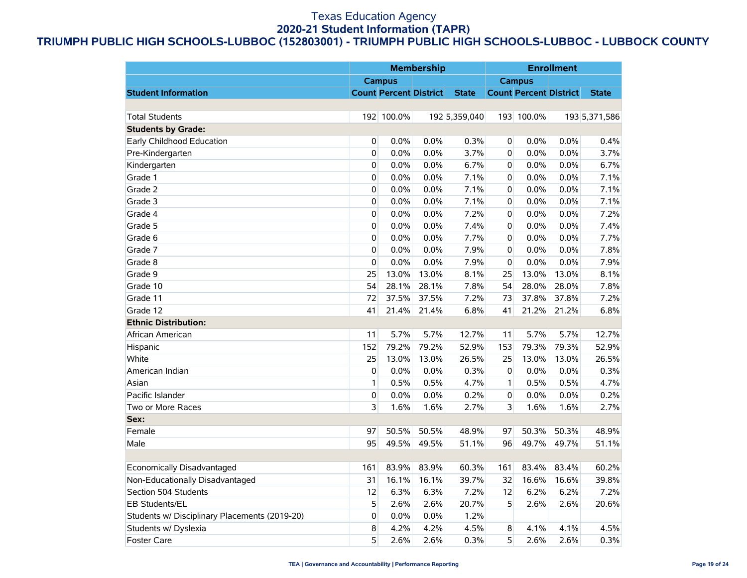### Texas Education Agency **2020-21 Student Information (TAPR)**

|                                               | <b>Membership</b> |                               |       |               | <b>Enrollment</b> |                               |       |               |
|-----------------------------------------------|-------------------|-------------------------------|-------|---------------|-------------------|-------------------------------|-------|---------------|
|                                               |                   | <b>Campus</b>                 |       |               |                   | <b>Campus</b>                 |       |               |
| <b>Student Information</b>                    |                   | <b>Count Percent District</b> |       | <b>State</b>  |                   | <b>Count Percent District</b> |       | <b>State</b>  |
|                                               |                   |                               |       |               |                   |                               |       |               |
| <b>Total Students</b>                         |                   | 192 100.0%                    |       | 192 5,359,040 |                   | 193 100.0%                    |       | 193 5,371,586 |
| <b>Students by Grade:</b>                     |                   |                               |       |               |                   |                               |       |               |
| Early Childhood Education                     | 0                 | 0.0%                          | 0.0%  | 0.3%          | 0                 | 0.0%                          | 0.0%  | 0.4%          |
| Pre-Kindergarten                              | 0                 | 0.0%                          | 0.0%  | 3.7%          | 0                 | 0.0%                          | 0.0%  | 3.7%          |
| Kindergarten                                  | 0                 | 0.0%                          | 0.0%  | 6.7%          | 0                 | 0.0%                          | 0.0%  | 6.7%          |
| Grade 1                                       | 0                 | 0.0%                          | 0.0%  | 7.1%          | 0                 | 0.0%                          | 0.0%  | 7.1%          |
| Grade 2                                       | 0                 | 0.0%                          | 0.0%  | 7.1%          | $\mathbf 0$       | 0.0%                          | 0.0%  | 7.1%          |
| Grade 3                                       | 0                 | 0.0%                          | 0.0%  | 7.1%          | 0                 | 0.0%                          | 0.0%  | 7.1%          |
| Grade 4                                       | 0                 | 0.0%                          | 0.0%  | 7.2%          | $\mathbf 0$       | 0.0%                          | 0.0%  | 7.2%          |
| Grade 5                                       | 0                 | 0.0%                          | 0.0%  | 7.4%          | $\mathbf 0$       | 0.0%                          | 0.0%  | 7.4%          |
| Grade 6                                       | 0                 | 0.0%                          | 0.0%  | 7.7%          | $\Omega$          | 0.0%                          | 0.0%  | 7.7%          |
| Grade 7                                       | 0                 | 0.0%                          | 0.0%  | 7.9%          | 0                 | 0.0%                          | 0.0%  | 7.8%          |
| Grade 8                                       | 0                 | 0.0%                          | 0.0%  | 7.9%          | $\mathbf 0$       | 0.0%                          | 0.0%  | 7.9%          |
| Grade 9                                       | 25                | 13.0%                         | 13.0% | 8.1%          | 25                | 13.0%                         | 13.0% | 8.1%          |
| Grade 10                                      | 54                | 28.1%                         | 28.1% | 7.8%          | 54                | 28.0%                         | 28.0% | 7.8%          |
| Grade 11                                      | 72                | 37.5%                         | 37.5% | 7.2%          | 73                | 37.8%                         | 37.8% | 7.2%          |
| Grade 12                                      | 41                | 21.4%                         | 21.4% | 6.8%          | 41                | 21.2%                         | 21.2% | 6.8%          |
| <b>Ethnic Distribution:</b>                   |                   |                               |       |               |                   |                               |       |               |
| African American                              | 11                | 5.7%                          | 5.7%  | 12.7%         | 11                | 5.7%                          | 5.7%  | 12.7%         |
| Hispanic                                      | 152               | 79.2%                         | 79.2% | 52.9%         | 153               | 79.3%                         | 79.3% | 52.9%         |
| White                                         | 25                | 13.0%                         | 13.0% | 26.5%         | 25                | 13.0%                         | 13.0% | 26.5%         |
| American Indian                               | $\pmb{0}$         | 0.0%                          | 0.0%  | 0.3%          | 0                 | 0.0%                          | 0.0%  | 0.3%          |
| Asian                                         | 1                 | 0.5%                          | 0.5%  | 4.7%          | $\mathbf{1}$      | 0.5%                          | 0.5%  | 4.7%          |
| Pacific Islander                              | 0                 | 0.0%                          | 0.0%  | 0.2%          | $\mathbf 0$       | 0.0%                          | 0.0%  | 0.2%          |
| Two or More Races                             | 3                 | 1.6%                          | 1.6%  | 2.7%          | 3                 | 1.6%                          | 1.6%  | 2.7%          |
| Sex:                                          |                   |                               |       |               |                   |                               |       |               |
| Female                                        | 97                | 50.5%                         | 50.5% | 48.9%         | 97                | 50.3%                         | 50.3% | 48.9%         |
| Male                                          | 95                | 49.5%                         | 49.5% | 51.1%         | 96                | 49.7%                         | 49.7% | 51.1%         |
|                                               |                   |                               |       |               |                   |                               |       |               |
| Economically Disadvantaged                    | 161               | 83.9%                         | 83.9% | 60.3%         | 161               | 83.4%                         | 83.4% | 60.2%         |
| Non-Educationally Disadvantaged               | 31                | 16.1%                         | 16.1% | 39.7%         | 32                | 16.6%                         | 16.6% | 39.8%         |
| Section 504 Students                          | 12                | 6.3%                          | 6.3%  | 7.2%          | 12                | 6.2%                          | 6.2%  | 7.2%          |
| EB Students/EL                                | 5                 | 2.6%                          | 2.6%  | 20.7%         | 5                 | 2.6%                          | 2.6%  | 20.6%         |
| Students w/ Disciplinary Placements (2019-20) | 0                 | 0.0%                          | 0.0%  | 1.2%          |                   |                               |       |               |
| Students w/ Dyslexia                          | 8                 | 4.2%                          | 4.2%  | 4.5%          | 8                 | 4.1%                          | 4.1%  | 4.5%          |
| Foster Care                                   | 5                 | 2.6%                          | 2.6%  | 0.3%          | 5                 | 2.6%                          | 2.6%  | 0.3%          |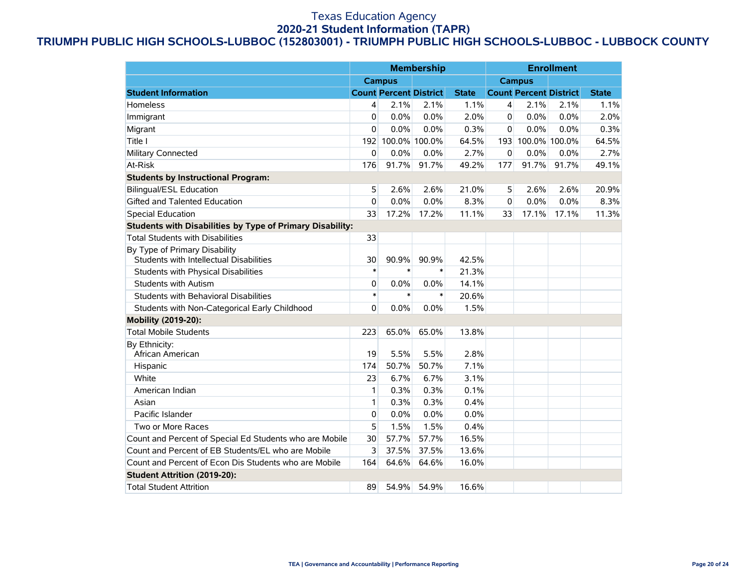### Texas Education Agency **2020-21 Student Information (TAPR)**

|                                                                          | <b>Membership</b> |                               |        |              |             |                               |       |              |
|--------------------------------------------------------------------------|-------------------|-------------------------------|--------|--------------|-------------|-------------------------------|-------|--------------|
|                                                                          |                   | <b>Campus</b>                 |        |              |             | <b>Campus</b>                 |       |              |
| <b>Student Information</b>                                               |                   | <b>Count Percent District</b> |        | <b>State</b> |             | <b>Count Percent District</b> |       | <b>State</b> |
| Homeless                                                                 | 4                 | 2.1%                          | 2.1%   | 1.1%         | 4           | 2.1%                          | 2.1%  | 1.1%         |
| Immigrant                                                                | 0                 | 0.0%                          | 0.0%   | 2.0%         | $\mathbf 0$ | 0.0%                          | 0.0%  | 2.0%         |
| Migrant                                                                  | $\mathbf{0}$      | 0.0%                          | 0.0%   | 0.3%         | $\Omega$    | 0.0%                          | 0.0%  | 0.3%         |
| Title I                                                                  | 192               | 100.0% 100.0%                 |        | 64.5%        | 193         | 100.0% 100.0%                 |       | 64.5%        |
| Military Connected                                                       | $\mathbf 0$       | 0.0%                          | 0.0%   | 2.7%         | $\mathbf 0$ | 0.0%                          | 0.0%  | 2.7%         |
| At-Risk                                                                  | 176               | 91.7%                         | 91.7%  | 49.2%        | 177         | 91.7%                         | 91.7% | 49.1%        |
| <b>Students by Instructional Program:</b>                                |                   |                               |        |              |             |                               |       |              |
| <b>Bilingual/ESL Education</b>                                           | 5                 | 2.6%                          | 2.6%   | 21.0%        | 5           | 2.6%                          | 2.6%  | 20.9%        |
| Gifted and Talented Education                                            | $\mathbf 0$       | 0.0%                          | 0.0%   | 8.3%         | $\Omega$    | 0.0%                          | 0.0%  | 8.3%         |
| <b>Special Education</b>                                                 | 33                | 17.2%                         | 17.2%  | 11.1%        | 33          | 17.1%                         | 17.1% | 11.3%        |
| Students with Disabilities by Type of Primary Disability:                |                   |                               |        |              |             |                               |       |              |
| <b>Total Students with Disabilities</b>                                  | 33                |                               |        |              |             |                               |       |              |
| By Type of Primary Disability<br>Students with Intellectual Disabilities | 30                | 90.9%                         | 90.9%  | 42.5%        |             |                               |       |              |
| Students with Physical Disabilities                                      | $\ast$            | $\ast$                        | $\ast$ | 21.3%        |             |                               |       |              |
| <b>Students with Autism</b>                                              | 0                 | 0.0%                          | 0.0%   | 14.1%        |             |                               |       |              |
| Students with Behavioral Disabilities                                    | $\ast$            | $\pmb{\ast}$                  | $\ast$ | 20.6%        |             |                               |       |              |
| Students with Non-Categorical Early Childhood                            | $\Omega$          | 0.0%                          | 0.0%   | 1.5%         |             |                               |       |              |
| Mobility (2019-20):                                                      |                   |                               |        |              |             |                               |       |              |
| <b>Total Mobile Students</b>                                             | 223               | 65.0%                         | 65.0%  | 13.8%        |             |                               |       |              |
| By Ethnicity:<br>African American                                        | 19                | 5.5%                          | 5.5%   | 2.8%         |             |                               |       |              |
| Hispanic                                                                 | 174               | 50.7%                         | 50.7%  | 7.1%         |             |                               |       |              |
| White                                                                    | 23                | 6.7%                          | 6.7%   | 3.1%         |             |                               |       |              |
| American Indian                                                          | $\mathbf{1}$      | 0.3%                          | 0.3%   | 0.1%         |             |                               |       |              |
| Asian                                                                    | 1                 | 0.3%                          | 0.3%   | 0.4%         |             |                               |       |              |
| Pacific Islander                                                         | 0                 | 0.0%                          | 0.0%   | 0.0%         |             |                               |       |              |
| Two or More Races                                                        | 5                 | 1.5%                          | 1.5%   | 0.4%         |             |                               |       |              |
| Count and Percent of Special Ed Students who are Mobile                  | 30                | 57.7%                         | 57.7%  | 16.5%        |             |                               |       |              |
| Count and Percent of EB Students/EL who are Mobile                       | 3                 | 37.5%                         | 37.5%  | 13.6%        |             |                               |       |              |
| Count and Percent of Econ Dis Students who are Mobile                    | 164               | 64.6%                         | 64.6%  | 16.0%        |             |                               |       |              |
| <b>Student Attrition (2019-20):</b>                                      |                   |                               |        |              |             |                               |       |              |
| <b>Total Student Attrition</b>                                           | 89                | 54.9%                         | 54.9%  | 16.6%        |             |                               |       |              |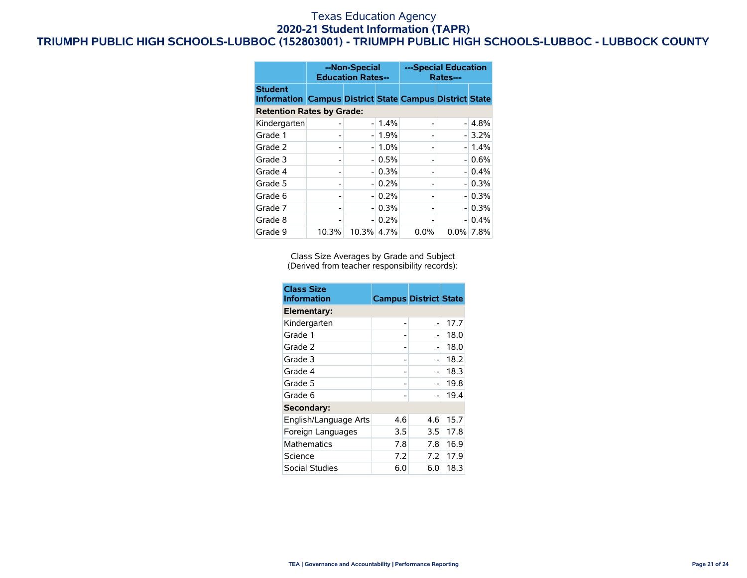### Texas Education Agency **2020-21 Student Information (TAPR) TRIUMPH PUBLIC HIGH SCHOOLS-LUBBOC (152803001) - TRIUMPH PUBLIC HIGH SCHOOLS-LUBBOC - LUBBOCK COUNTY**

|                                                                                  |                                  | --Non-Special<br><b>Education Rates--</b> |         | ---Special Education<br>Rates--- |                          |         |  |  |
|----------------------------------------------------------------------------------|----------------------------------|-------------------------------------------|---------|----------------------------------|--------------------------|---------|--|--|
| <b>Student</b><br><b>Information Campus District State Campus District State</b> |                                  |                                           |         |                                  |                          |         |  |  |
|                                                                                  | <b>Retention Rates by Grade:</b> |                                           |         |                                  |                          |         |  |  |
| Kindergarten                                                                     |                                  |                                           | $-1.4%$ |                                  |                          | $-4.8%$ |  |  |
| Grade 1                                                                          |                                  |                                           | $-1.9%$ |                                  |                          | $-3.2%$ |  |  |
| Grade 2                                                                          |                                  |                                           | $-1.0%$ |                                  | $\overline{\phantom{0}}$ | 1.4%    |  |  |
| Grade 3                                                                          |                                  |                                           | $-0.5%$ |                                  |                          | $-0.6%$ |  |  |
| Grade 4                                                                          |                                  |                                           | $-0.3%$ |                                  |                          | $-0.4%$ |  |  |
| Grade 5                                                                          |                                  |                                           | $-0.2%$ |                                  |                          | $-0.3%$ |  |  |
| Grade 6                                                                          |                                  |                                           | $-0.2%$ |                                  |                          | $-0.3%$ |  |  |
| Grade 7                                                                          |                                  |                                           | $-0.3%$ |                                  | $\overline{a}$           | 0.3%    |  |  |
| Grade 8                                                                          |                                  |                                           | 0.2%    |                                  | $\overline{\phantom{0}}$ | 0.4%    |  |  |
| Grade 9                                                                          | 10.3%                            | $10.3\%$                                  | 4.7%    | 0.0%                             | $0.0\%$                  | 7.8%    |  |  |

Class Size Averages by Grade and Subject (Derived from teacher responsibility records):

| <b>Class Size</b><br><b>Information</b> | <b>Campus District State</b> |     |      |
|-----------------------------------------|------------------------------|-----|------|
| Elementary:                             |                              |     |      |
| Kindergarten                            |                              |     | 17.7 |
| Grade 1                                 |                              |     | 18.0 |
| Grade 2                                 |                              |     | 18.0 |
| Grade 3                                 |                              |     | 18.2 |
| Grade 4                                 |                              |     | 18.3 |
| Grade 5                                 |                              |     | 19.8 |
| Grade 6                                 |                              |     | 19.4 |
| Secondary:                              |                              |     |      |
| English/Language Arts                   | 4.6                          | 4.6 | 15.7 |
| Foreign Languages                       | 3.5                          | 3.5 | 17.8 |
| <b>Mathematics</b>                      | 7.8                          | 7.8 | 16.9 |
| Science                                 | 7.2                          | 7.2 | 17.9 |
| Social Studies                          | 6.0                          | 6.0 | 18.3 |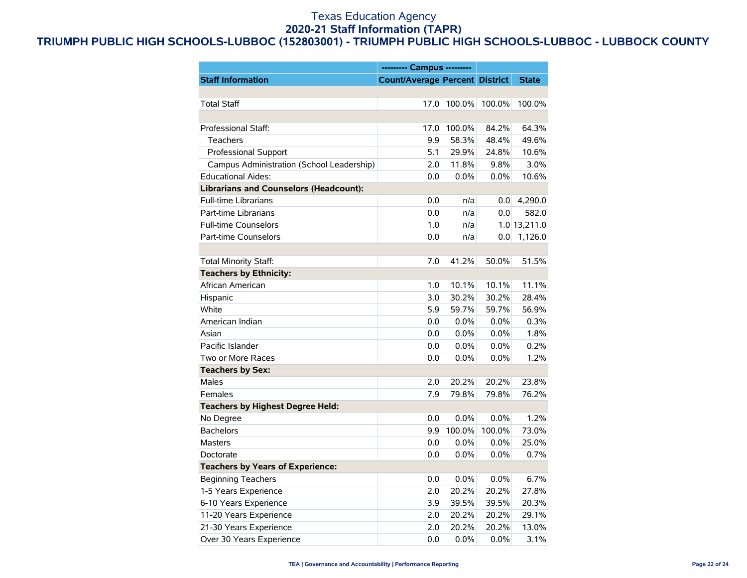### Texas Education Agency **2020-21 Staff Information (TAPR) TRIUMPH PUBLIC HIGH SCHOOLS-LUBBOC (152803001) - TRIUMPH PUBLIC HIGH SCHOOLS-LUBBOC - LUBBOCK COUNTY**

|                                               | --------- Campus ---------            |        |        |              |
|-----------------------------------------------|---------------------------------------|--------|--------|--------------|
| <b>Staff Information</b>                      | <b>Count/Average Percent District</b> |        |        | <b>State</b> |
|                                               |                                       |        |        |              |
| <b>Total Staff</b>                            | 17.0                                  | 100.0% | 100.0% | 100.0%       |
|                                               |                                       |        |        |              |
| Professional Staff:                           | 17.0                                  | 100.0% | 84.2%  | 64.3%        |
| <b>Teachers</b>                               | 9.9                                   | 58.3%  | 48.4%  | 49.6%        |
| Professional Support                          | 5.1                                   | 29.9%  | 24.8%  | 10.6%        |
| Campus Administration (School Leadership)     | 2.0                                   | 11.8%  | 9.8%   | 3.0%         |
| <b>Educational Aides:</b>                     | 0.0                                   | 0.0%   | 0.0%   | 10.6%        |
| <b>Librarians and Counselors (Headcount):</b> |                                       |        |        |              |
| <b>Full-time Librarians</b>                   | 0.0                                   | n/a    | 0.0    | 4,290.0      |
| Part-time Librarians                          | 0.0                                   | n/a    | 0.0    | 582.0        |
| <b>Full-time Counselors</b>                   | 1.0                                   | n/a    |        | 1.0 13,211.0 |
| Part-time Counselors                          | 0.0                                   | n/a    | 0.0    | 1,126.0      |
|                                               |                                       |        |        |              |
| Total Minority Staff:                         | 7.0                                   | 41.2%  | 50.0%  | 51.5%        |
| <b>Teachers by Ethnicity:</b>                 |                                       |        |        |              |
| African American                              | 1.0                                   | 10.1%  | 10.1%  | 11.1%        |
| Hispanic                                      | 3.0                                   | 30.2%  | 30.2%  | 28.4%        |
| White                                         | 5.9                                   | 59.7%  | 59.7%  | 56.9%        |
| American Indian                               | 0.0                                   | 0.0%   | 0.0%   | 0.3%         |
| Asian                                         | 0.0                                   | 0.0%   | 0.0%   | 1.8%         |
| Pacific Islander                              | 0.0                                   | 0.0%   | 0.0%   | 0.2%         |
| Two or More Races                             | 0.0                                   | 0.0%   | 0.0%   | 1.2%         |
| <b>Teachers by Sex:</b>                       |                                       |        |        |              |
| Males                                         | 2.0                                   | 20.2%  | 20.2%  | 23.8%        |
| Females                                       | 7.9                                   | 79.8%  | 79.8%  | 76.2%        |
| <b>Teachers by Highest Degree Held:</b>       |                                       |        |        |              |
| No Degree                                     | 0.0                                   | 0.0%   | 0.0%   | 1.2%         |
| <b>Bachelors</b>                              | 9.9                                   | 100.0% | 100.0% | 73.0%        |
| <b>Masters</b>                                | 0.0                                   | 0.0%   | 0.0%   | 25.0%        |
| Doctorate                                     | 0.0                                   | 0.0%   | 0.0%   | 0.7%         |
| <b>Teachers by Years of Experience:</b>       |                                       |        |        |              |
| <b>Beginning Teachers</b>                     | 0.0                                   | 0.0%   | 0.0%   | 6.7%         |
| 1-5 Years Experience                          | 2.0                                   | 20.2%  | 20.2%  | 27.8%        |
| 6-10 Years Experience                         | 3.9                                   | 39.5%  | 39.5%  | 20.3%        |
| 11-20 Years Experience                        | 2.0                                   | 20.2%  | 20.2%  | 29.1%        |
| 21-30 Years Experience                        | 2.0                                   | 20.2%  | 20.2%  | 13.0%        |
| Over 30 Years Experience                      | 0.0                                   | 0.0%   | 0.0%   | 3.1%         |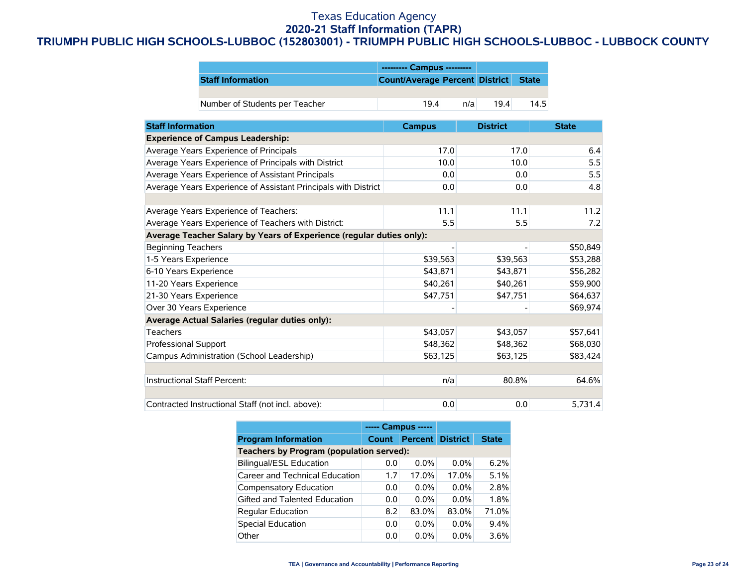### Texas Education Agency **2020-21 Staff Information (TAPR)**

|                                |                                      | --------- Campus --------- |     |      |  |
|--------------------------------|--------------------------------------|----------------------------|-----|------|--|
| <b>Staff Information</b>       | Count/Average Percent District State |                            |     |      |  |
|                                |                                      |                            |     |      |  |
| Number of Students per Teacher | 19.4                                 | n/a                        | 194 | 14.5 |  |

| <b>Staff Information</b>                                             | <b>Campus</b> | <b>District</b> | <b>State</b> |
|----------------------------------------------------------------------|---------------|-----------------|--------------|
| <b>Experience of Campus Leadership:</b>                              |               |                 |              |
| Average Years Experience of Principals                               | 17.0          | 17.0            | 6.4          |
| Average Years Experience of Principals with District                 | 10.0          | 10.0            | 5.5          |
| Average Years Experience of Assistant Principals                     | 0.0           | 0.0             | 5.5          |
| Average Years Experience of Assistant Principals with District       | 0.0           | 0.0             | 4.8          |
|                                                                      |               |                 |              |
| Average Years Experience of Teachers:                                | 11.1          | 11.1            | 11.2         |
| Average Years Experience of Teachers with District:                  | 5.5           | 5.5             | 7.2          |
| Average Teacher Salary by Years of Experience (regular duties only): |               |                 |              |
| <b>Beginning Teachers</b>                                            |               |                 | \$50,849     |
| 1-5 Years Experience                                                 | \$39,563      | \$39,563        | \$53,288     |
| 6-10 Years Experience                                                | \$43,871      | \$43,871        | \$56,282     |
| 11-20 Years Experience                                               | \$40,261      | \$40,261        | \$59,900     |
| 21-30 Years Experience                                               | \$47,751      | \$47,751        | \$64,637     |
| Over 30 Years Experience                                             |               |                 | \$69,974     |
| Average Actual Salaries (regular duties only):                       |               |                 |              |
| <b>Teachers</b>                                                      | \$43,057      | \$43,057        | \$57,641     |
| Professional Support                                                 | \$48,362      | \$48,362        | \$68,030     |
| Campus Administration (School Leadership)                            | \$63,125      | \$63,125        | \$83,424     |
|                                                                      |               |                 |              |
| Instructional Staff Percent:                                         | n/a           | 80.8%           | 64.6%        |
|                                                                      |               |                 |              |
| Contracted Instructional Staff (not incl. above):                    | 0.0           | 0.0             | 5,731.4      |

|                                          | ----- Campus ----- |                         |         |              |  |  |  |  |  |  |
|------------------------------------------|--------------------|-------------------------|---------|--------------|--|--|--|--|--|--|
| <b>Program Information</b>               | Count              | <b>Percent District</b> |         | <b>State</b> |  |  |  |  |  |  |
| Teachers by Program (population served): |                    |                         |         |              |  |  |  |  |  |  |
| <b>Bilingual/ESL Education</b>           | 0.0                | $0.0\%$                 | $0.0\%$ | 6.2%         |  |  |  |  |  |  |
| Career and Technical Education           | 1.7                | 17.0%                   | 17.0%   | 5.1%         |  |  |  |  |  |  |
| Compensatory Education                   | 0.0                | $0.0\%$                 | $0.0\%$ | 2.8%         |  |  |  |  |  |  |
| Gifted and Talented Education            | 0.0                | $0.0\%$                 | $0.0\%$ | 1.8%         |  |  |  |  |  |  |
| Regular Education                        | 8.2                | 83.0%                   | 83.0%   | 71.0%        |  |  |  |  |  |  |
| <b>Special Education</b>                 | 0.0                | $0.0\%$                 | $0.0\%$ | 9.4%         |  |  |  |  |  |  |
| Other                                    | 0.0                | $0.0\%$                 | $0.0\%$ | 3.6%         |  |  |  |  |  |  |